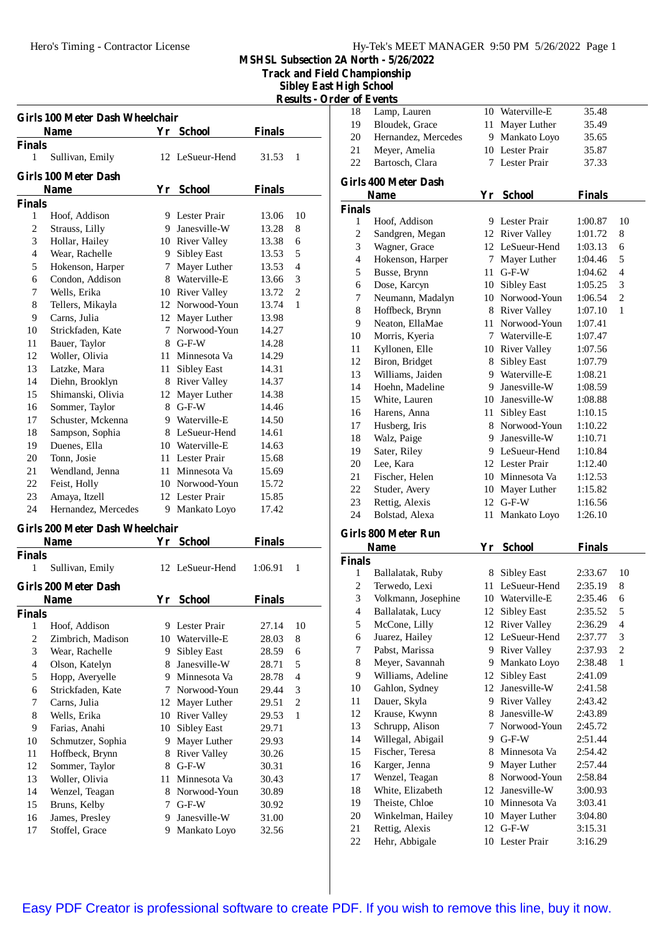**Track and Field Championship**

**Sibley East High School Results - Order of Events**

|                | Girls 100 Meter Dash Wheelchair |    |                     |               |                |
|----------------|---------------------------------|----|---------------------|---------------|----------------|
|                | <b>Name</b>                     |    | Yr School           | <b>Finals</b> |                |
| Finals         |                                 |    |                     |               |                |
| 1              | Sullivan, Emily                 |    | 12 LeSueur-Hend     | 31.53         | 1              |
|                | <b>Girls 100 Meter Dash</b>     |    |                     |               |                |
|                | <b>Name</b>                     | Yr | <b>School</b>       | <b>Finals</b> |                |
| Finals         |                                 |    |                     |               |                |
| $\mathbf{1}$   | Hoof, Addison                   |    | 9 Lester Prair      | 13.06         | 10             |
| $\mathfrak{2}$ | Strauss, Lilly                  |    | 9 Janesville-W      | 13.28         | 8              |
| 3              | Hollar, Hailey                  |    | 10 River Valley     | 13.38         | 6              |
| $\overline{4}$ | Wear, Rachelle                  | 9  | Sibley East         | 13.53         | 5              |
| 5              | Hokenson, Harper                | 7  | Mayer Luther        | 13.53         | $\overline{4}$ |
| 6              | Condon, Addison                 |    | 8 Waterville-E      | 13.66         | 3              |
| 7              | Wells, Erika                    |    | 10 River Valley     | 13.72         | $\overline{c}$ |
| 8              | Tellers, Mikayla                |    | 12 Norwood-Youn     | 13.74         | $\mathbf{1}$   |
| 9              | Carns, Julia                    | 12 | Mayer Luther        | 13.98         |                |
| 10             | Strickfaden, Kate               | 7  | Norwood-Youn        | 14.27         |                |
| 11             | Bauer, Taylor                   |    | 8 G-F-W             | 14.28         |                |
| 12             | Woller, Olivia                  |    | 11 Minnesota Va     | 14.29         |                |
| 13             | Latzke, Mara                    |    | 11 Sibley East      | 14.31         |                |
| 14             | Diehn, Brooklyn                 | 8  | <b>River Valley</b> | 14.37         |                |
| 15             | Shimanski, Olivia               | 12 | Mayer Luther        | 14.38         |                |
| 16             | Sommer, Taylor                  |    | 8 G-F-W             | 14.46         |                |
| 17             | Schuster, Mckenna               |    | 9 Waterville-E      | 14.50         |                |
| 18             | Sampson, Sophia                 |    | 8 LeSueur-Hend      | 14.61         |                |
| 19             | Duenes, Ella                    |    | 10 Waterville-E     | 14.63         |                |
| 20             | Tonn, Josie                     | 11 | Lester Prair        | 15.68         |                |
| 21             | Wendland, Jenna                 |    | 11 Minnesota Va     | 15.69         |                |
| 22             | Feist, Holly                    |    | 10 Norwood-Youn     | 15.72         |                |
| 23             | Amaya, Itzell                   |    | 12 Lester Prair     | 15.85         |                |
| 24             | Hernandez, Mercedes             | 9  | Mankato Loyo        | 17.42         |                |

## **Girls 200 Meter Dash Wheelchair**

|                | Name                 | Yr | <b>School</b>   | <b>Finals</b> |    |
|----------------|----------------------|----|-----------------|---------------|----|
| Finals         |                      |    |                 |               |    |
| 1              | Sullivan, Emily      |    | 12 LeSueur-Hend | 1:06.91       | 1  |
|                | Girls 200 Meter Dash |    |                 |               |    |
|                | <b>Name</b>          | Yr | <b>School</b>   | <b>Finals</b> |    |
| Finals         |                      |    |                 |               |    |
| 1              | Hoof, Addison        | 9  | Lester Prair    | 27.14         | 10 |
| $\overline{c}$ | Zimbrich, Madison    |    | 10 Waterville-E | 28.03         | 8  |
| 3              | Wear, Rachelle       | 9  | Sibley East     | 28.59         | 6  |
| 4              | Olson, Katelyn       | 8  | Janesville-W    | 28.71         | 5  |
| 5              | Hopp, Averyelle      | 9  | Minnesota Va    | 28.78         | 4  |
| 6              | Strickfaden, Kate    | 7  | Norwood-Youn    | 29.44         | 3  |
| 7              | Carns, Julia         | 12 | Mayer Luther    | 29.51         | 2  |
| 8              | Wells, Erika         | 10 | River Valley    | 29.53         | 1  |
| 9              | Farias, Anahi        | 10 | Sibley East     | 29.71         |    |
| 10             | Schmutzer, Sophia    | 9  | Mayer Luther    | 29.93         |    |
| 11             | Hoffbeck, Brynn      | 8  | River Valley    | 30.26         |    |
| 12             | Sommer, Taylor       | 8  | $G-F-W$         | 30.31         |    |
| 13             | Woller, Olivia       | 11 | Minnesota Va    | 30.43         |    |
| 14             | Wenzel, Teagan       | 8  | Norwood-Youn    | 30.89         |    |
| 15             | Bruns, Kelby         | 7  | $G-F-W$         | 30.92         |    |
| 16             | James, Presley       | 9  | Janesville-W    | 31.00         |    |
| 17             | Stoffel, Grace       | 9  | Mankato Loyo    | 32.56         |    |
|                |                      |    |                 |               |    |

|    | er of Events                |    |                 |               |  |
|----|-----------------------------|----|-----------------|---------------|--|
| 18 | Lamp, Lauren                |    | 10 Waterville-E | 35.48         |  |
| 19 | Bloudek, Grace              |    | 11 Mayer Luther | 35.49         |  |
| 20 | Hernandez, Mercedes         |    | 9 Mankato Loyo  | 35.65         |  |
| 21 | Meyer, Amelia               |    | 10 Lester Prair | 35.87         |  |
| 22 | Bartosch, Clara             |    | 7 Lester Prair  | 37.33         |  |
|    | <b>Girls 400 Meter Dash</b> |    |                 |               |  |
|    | Name                        | Yr | <b>School</b>   | <b>Finals</b> |  |

|               | <b>Name</b>      | Yr | School              | Finals  |                |
|---------------|------------------|----|---------------------|---------|----------------|
| <b>Finals</b> |                  |    |                     |         |                |
| 1             | Hoof, Addison    | 9  | Lester Prair        | 1:00.87 | 10             |
| 2             | Sandgren, Megan  | 12 | <b>River Valley</b> | 1:01.72 | 8              |
| 3             | Wagner, Grace    | 12 | LeSueur-Hend        | 1:03.13 | 6              |
| 4             | Hokenson, Harper | 7  | Mayer Luther        | 1:04.46 | 5              |
| 5             | Busse, Brynn     | 11 | $G-F-W$             | 1:04.62 | 4              |
| 6             | Dose, Karcyn     | 10 | Sibley East         | 1:05.25 | 3              |
| 7             | Neumann, Madalyn | 10 | Norwood-Youn        | 1:06.54 | $\overline{2}$ |
| 8             | Hoffbeck, Brynn  | 8  | River Valley        | 1:07.10 | $\mathbf{1}$   |
| 9             | Neaton, EllaMae  | 11 | Norwood-Youn        | 1:07.41 |                |
| 10            | Morris, Kyeria   | 7  | Waterville-E        | 1:07.47 |                |
| 11            | Kyllonen, Elle   | 10 | River Valley        | 1:07.56 |                |
| 12            | Biron, Bridget   | 8  | <b>Sibley East</b>  | 1:07.79 |                |
| 13            | Williams, Jaiden | 9  | Waterville-E        | 1:08.21 |                |
| 14            | Hoehn, Madeline  | 9  | Janesville-W        | 1:08.59 |                |
| 15            | White, Lauren    | 10 | Janesville-W        | 1:08.88 |                |
| 16            | Harens, Anna     | 11 | <b>Sibley East</b>  | 1:10.15 |                |
| 17            | Husberg, Iris    | 8  | Norwood-Youn        | 1:10.22 |                |
| 18            | Walz, Paige      | 9  | Janesville-W        | 1:10.71 |                |
| 19            | Sater, Riley     | 9  | LeSueur-Hend        | 1:10.84 |                |
| 20            | Lee, Kara        |    | 12 Lester Prair     | 1:12.40 |                |
| 21            | Fischer, Helen   | 10 | Minnesota Va        | 1:12.53 |                |
| 22            | Studer, Avery    | 10 | Mayer Luther        | 1:15.82 |                |
| 23            | Rettig, Alexis   | 12 | $G-F-W$             | 1:16.56 |                |
| 24            | Bolstad, Alexa   | 11 | Mankato Loyo        | 1:26.10 |                |

# **Girls 800 Meter Run**

|               | <b>Name</b>         | Yr  | School             | <b>Finals</b> |    |  |
|---------------|---------------------|-----|--------------------|---------------|----|--|
| <b>Finals</b> |                     |     |                    |               |    |  |
| 1             | Ballalatak, Ruby    | 8   | Sibley East        | 2:33.67       | 10 |  |
| 2             | Terwedo, Lexi       | 11  | LeSueur-Hend       | 2:35.19       | 8  |  |
| 3             | Volkmann, Josephine | 10  | Waterville-E       | 2:35.46       | 6  |  |
| 4             | Ballalatak, Lucy    | 12  | Sibley East        | 2:35.52       | 5  |  |
| 5             | McCone, Lilly       | 12  | River Valley       | 2:36.29       | 4  |  |
| 6             | Juarez, Hailey      |     | 12 LeSueur-Hend    | 2:37.77       | 3  |  |
| 7             | Pabst, Marissa      | 9   | River Valley       | 2:37.93       | 2  |  |
| 8             | Meyer, Savannah     | 9   | Mankato Loyo       | 2:38.48       | 1  |  |
| 9             | Williams, Adeline   | 12  | <b>Sibley East</b> | 2:41.09       |    |  |
| 10            | Gahlon, Sydney      | 12. | Janesville-W       | 2:41.58       |    |  |
| 11            | Dauer, Skyla        | 9   | River Valley       | 2:43.42       |    |  |
| 12            | Krause, Kwynn       | 8   | Janesville-W       | 2:43.89       |    |  |
| 13            | Schrupp, Alison     | 7   | Norwood-Youn       | 2:45.72       |    |  |
| 14            | Willegal, Abigail   | 9   | $G-F-W$            | 2:51.44       |    |  |
| 15            | Fischer, Teresa     | 8   | Minnesota Va       | 2:54.42       |    |  |
| 16            | Karger, Jenna       | 9   | Mayer Luther       | 2:57.44       |    |  |
| 17            | Wenzel, Teagan      | 8   | Norwood-Youn       | 2:58.84       |    |  |
| 18            | White, Elizabeth    | 12  | Janesville-W       | 3:00.93       |    |  |
| 19            | Theiste, Chloe      | 10  | Minnesota Va       | 3:03.41       |    |  |
| 20            | Winkelman, Hailey   | 10  | Mayer Luther       | 3:04.80       |    |  |
| 21            | Rettig, Alexis      | 12  | $G-F-W$            | 3:15.31       |    |  |
| 22            | Hehr, Abbigale      | 10  | Lester Prair       | 3:16.29       |    |  |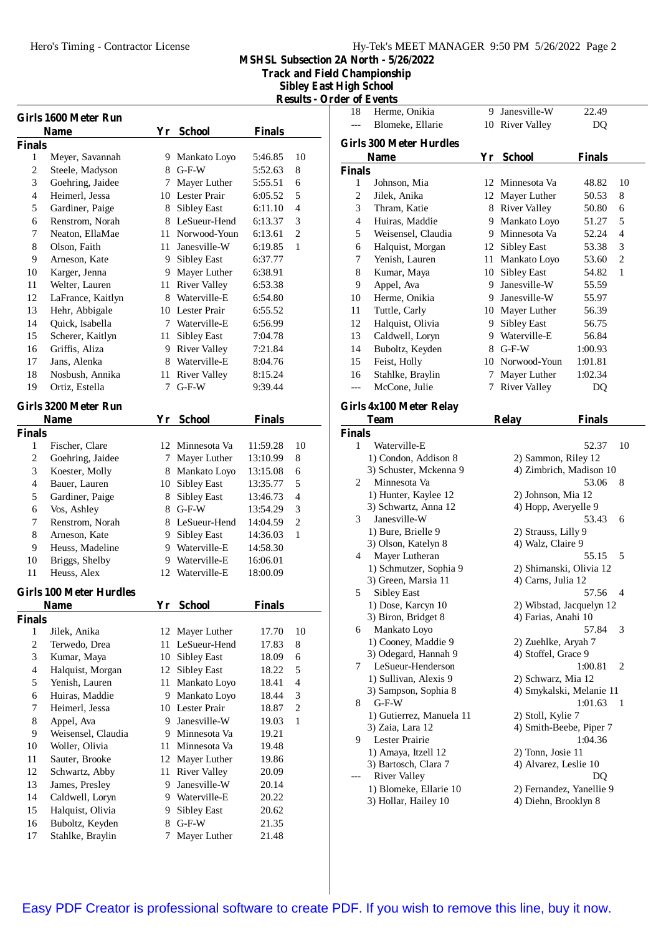**Track and Field Championship**

**Sibley East High School**

| <b>Results - Order of Events</b> |  |  |
|----------------------------------|--|--|
|                                  |  |  |

|                | Girls 1600 Meter Run           |                 |                     |               |                |
|----------------|--------------------------------|-----------------|---------------------|---------------|----------------|
|                | Name                           |                 | Yr School           | <b>Finals</b> |                |
| <b>Finals</b>  |                                |                 |                     |               |                |
| 1              | Meyer, Savannah                |                 | 9 Mankato Loyo      | 5:46.85       | 10             |
| $\overline{c}$ | Steele, Madyson                |                 | 8 G-F-W             | 5:52.63       | 8              |
| 3              | Goehring, Jaidee               |                 | 7 Mayer Luther      | 5:55.51       | 6              |
| 4              | Heimerl, Jessa                 |                 | 10 Lester Prair     | 6:05.52       | 5              |
| 5              | Gardiner, Paige                |                 | 8 Sibley East       | 6:11.10       | 4              |
| 6              | Renstrom, Norah                |                 | 8 LeSueur-Hend      | 6:13.37       | 3              |
| 7              | Neaton, EllaMae                | 11              | Norwood-Youn        | 6:13.61       | $\overline{2}$ |
| 8              | Olson, Faith                   | 11              | Janesville-W        | 6:19.85       | 1              |
| 9              | Arneson, Kate                  | 9.              | Sibley East         | 6:37.77       |                |
| 10             | Karger, Jenna                  | 9.              | Mayer Luther        | 6:38.91       |                |
| 11             | Welter, Lauren                 | 11 -            | <b>River Valley</b> | 6:53.38       |                |
| 12             | LaFrance, Kaitlyn              | 8.              | Waterville-E        | 6:54.80       |                |
| 13             | Hehr, Abbigale                 |                 | 10 Lester Prair     | 6:55.52       |                |
| 14             | Quick, Isabella                |                 | 7 Waterville-E      | 6:56.99       |                |
| 15             | Scherer, Kaitlyn               | 11              | Sibley East         | 7:04.78       |                |
| 16             | Griffis, Aliza                 |                 | 9 River Valley      | 7:21.84       |                |
| 17             | Jans, Alenka                   | 8               | Waterville-E        | 8:04.76       |                |
| 18             | Nosbush, Annika                | 11              | <b>River Valley</b> | 8:15.24       |                |
| 19             | Ortiz, Estella                 | $7\phantom{.0}$ | $G-F-W$             | 9:39.44       |                |
|                | Girls 3200 Meter Run           |                 |                     |               |                |
|                | Name                           |                 | Yr School           | <b>Finals</b> |                |
| <b>Finals</b>  |                                |                 |                     |               |                |
| 1              | Fischer, Clare                 |                 | 12 Minnesota Va     | 11:59.28      | 10             |
| 2              | Goehring, Jaidee               | 7               | Mayer Luther        | 13:10.99      | 8              |
| 3              | Koester, Molly                 |                 | 8 Mankato Loyo      | 13:15.08      | 6              |
| $\overline{4}$ | Bauer, Lauren                  | 10              | <b>Sibley East</b>  | 13:35.77      | 5              |
| 5              | Gardiner, Paige                | 8               | <b>Sibley East</b>  | 13:46.73      | $\overline{4}$ |
| 6              | Vos, Ashley                    |                 | 8 G-F-W             | 13:54.29      | 3              |
| 7              | Renstrom, Norah                | 8               | LeSueur-Hend        | 14:04.59      | $\overline{2}$ |
| 8              | Arneson, Kate                  | 9               | Sibley East         | 14:36.03      | 1              |
| 9              | Heuss, Madeline                | 9.              | Waterville-E        | 14:58.30      |                |
| 10             | Briggs, Shelby                 | 9.              | Waterville-E        | 16:06.01      |                |
| 11             | Heuss, Alex                    | 12              | Waterville-E        | 18:00.09      |                |
|                |                                |                 |                     |               |                |
|                | <b>Girls 100 Meter Hurdles</b> |                 |                     |               |                |
|                | Name                           | Yr              | <b>School</b>       | <b>Finals</b> |                |
| <b>Finals</b>  |                                |                 |                     |               |                |
| 1              | Jilek, Anika                   |                 | 12 Mayer Luther     | 17.70         | 10             |
| 2              | Terwedo, Drea                  | 11              | LeSueur-Hend        | 17.83         | 8              |
| 3              | Kumar, Maya                    | 10              | Sibley East         | 18.09         | 6              |
| $\overline{4}$ | Halquist, Morgan               | 12              | <b>Sibley East</b>  | 18.22         | 5              |
| 5              | Yenish, Lauren                 | 11              | Mankato Loyo        | 18.41         | 4              |
| 6              | Huiras, Maddie                 | 9.              | Mankato Loyo        | 18.44         | 3              |
| 7              | Heimerl, Jessa                 |                 | 10 Lester Prair     | 18.87         | $\overline{2}$ |
| 8              | Appel, Ava                     | 9               | Janesville-W        | 19.03         | 1              |
| 9              | Weisensel, Claudia             | 9.              | Minnesota Va        | 19.21         |                |
| 10             | Woller, Olivia                 | 11              | Minnesota Va        | 19.48         |                |
| 11             | Sauter, Brooke                 | 12              | Mayer Luther        | 19.86         |                |
| 12             | Schwartz, Abby                 | 11              | <b>River Valley</b> | 20.09         |                |
| 13             | James, Presley                 | 9               | Janesville-W        | 20.14         |                |
| 14             | Caldwell, Loryn                |                 | 9 Waterville-E      | 20.22         |                |
| 15             | Halquist, Olivia               | 9               | Sibley East         | 20.62         |                |
| 16             | Buboltz, Keyden                | 8               | $G-F-W$             | 21.35         |                |
| 17             | Stahlke, Braylin               | 7               | Mayer Luther        | 21.48         |                |

| 18            | Herme, Onikia                  | 9. | Janesville-W             | 22.49         |    |
|---------------|--------------------------------|----|--------------------------|---------------|----|
| $---$         | Blomeke, Ellarie               |    | 10 River Valley          | DQ            |    |
|               |                                |    |                          |               |    |
|               | <b>Girls 300 Meter Hurdles</b> |    |                          |               |    |
|               | <b>Name</b>                    |    | Yr School                | Finals        |    |
| <b>Finals</b> |                                |    |                          |               |    |
| 1             | Johnson, Mia                   | 12 | Minnesota Va             | 48.82         | 10 |
| 2             | Jilek, Anika                   |    | 12 Mayer Luther          | 50.53         | 8  |
| 3             | Thram, Katie                   |    | 8 River Valley           | 50.80         | 6  |
| 4             | Huiras, Maddie                 | 9  | Mankato Loyo             | 51.27         | 5  |
| 5             | Weisensel, Claudia             | 9. | Minnesota Va             | 52.24         | 4  |
| 6             | Halquist, Morgan               |    | 12 Sibley East           | 53.38         | 3  |
| 7             | Yenish, Lauren                 | 11 | Mankato Loyo             | 53.60         | 2  |
| 8             | Kumar, Maya                    | 10 | <b>Sibley East</b>       | 54.82         | 1  |
| 9             | Appel, Ava                     | 9. | Janesville-W             | 55.59         |    |
| 10            | Herme, Onikia                  | 9  | Janesville-W             | 55.97         |    |
| 11            | Tuttle, Carly                  |    | 10 Mayer Luther          | 56.39         |    |
| 12            | Halquist, Olivia               |    | 9 Sibley East            | 56.75         |    |
| 13            | Caldwell, Loryn                |    | 9 Waterville-E           | 56.84         |    |
| 14            | Buboltz, Keyden                |    | $8$ G-F-W                | 1:00.93       |    |
| 15            | Feist, Holly                   |    | 10 Norwood-Youn          | 1:01.81       |    |
| 16            | Stahlke, Braylin               | 7  | Mayer Luther             | 1:02.34       |    |
|               | McCone, Julie                  | 7  | <b>River Valley</b>      |               |    |
| ---           |                                |    |                          | DQ            |    |
|               | Girls 4x100 Meter Relay        |    |                          |               |    |
|               | <b>Team</b>                    |    | <b>Relay</b>             | <b>Finals</b> |    |
| <b>Finals</b> |                                |    |                          |               |    |
| 1             | Waterville-E                   |    |                          | 52.37         | 10 |
|               | 1) Condon, Addison 8           |    | 2) Sammon, Riley 12      |               |    |
|               | 3) Schuster, Mckenna 9         |    | 4) Zimbrich, Madison 10  |               |    |
| 2             | Minnesota Va                   |    |                          | 53.06         | 8  |
|               | 1) Hunter, Kaylee 12           |    | 2) Johnson, Mia 12       |               |    |
|               | 3) Schwartz, Anna 12           |    | 4) Hopp, Averyelle 9     |               |    |
| 3             | Janesville-W                   |    |                          | 53.43         | 6  |
|               | 1) Bure, Brielle 9             |    | 2) Strauss, Lilly 9      |               |    |
|               | 3) Olson, Katelyn 8            |    | 4) Walz, Claire 9        |               |    |
| 4             | Mayer Lutheran                 |    |                          | 55.15         | 5  |
|               | 1) Schmutzer, Sophia 9         |    | 2) Shimanski, Olivia 12  |               |    |
|               | 3) Green, Marsia 11            |    | 4) Carns, Julia 12       |               |    |
| 5             | <b>Sibley East</b>             |    |                          | 57.56         | 4  |
|               | 1) Dose, Karcyn 10             |    | 2) Wibstad, Jacquelyn 12 |               |    |
|               | 3) Biron, Bridget 8            |    | 4) Farias, Anahi 10      |               |    |
| 6             | Mankato Loyo                   |    |                          | 57.84         | 3  |
|               | 1) Cooney, Maddie 9            |    | 2) Zuehlke, Aryah 7      |               |    |
|               | 3) Odegard, Hannah 9           |    | 4) Stoffel, Grace 9      |               |    |
| 7             | LeSueur-Henderson              |    |                          | 1:00.81       | 2  |
|               | 1) Sullivan, Alexis 9          |    | 2) Schwarz, Mia 12       |               |    |
|               | 3) Sampson, Sophia 8           |    | 4) Smykalski, Melanie 11 |               |    |
| 8             | $G-F-W$                        |    |                          | 1:01.63       | 1  |
|               | 1) Gutierrez, Manuela 11       |    | 2) Stoll, Kylie 7        |               |    |
|               | 3) Zaia, Lara 12               |    | 4) Smith-Beebe, Piper 7  |               |    |
| 9             | Lester Prairie                 |    |                          | 1:04.36       |    |
|               | 1) Amaya, Itzell 12            |    | 2) Tonn, Josie 11        |               |    |
|               | 3) Bartosch, Clara 7           |    | 4) Alvarez, Leslie 10    |               |    |
|               |                                |    |                          |               |    |
|               | <b>River Valley</b>            |    |                          | DQ            |    |
|               | 1) Blomeke, Ellarie 10         |    | 2) Fernandez, Yanellie 9 |               |    |
|               | 3) Hollar, Hailey 10           |    | 4) Diehn, Brooklyn 8     |               |    |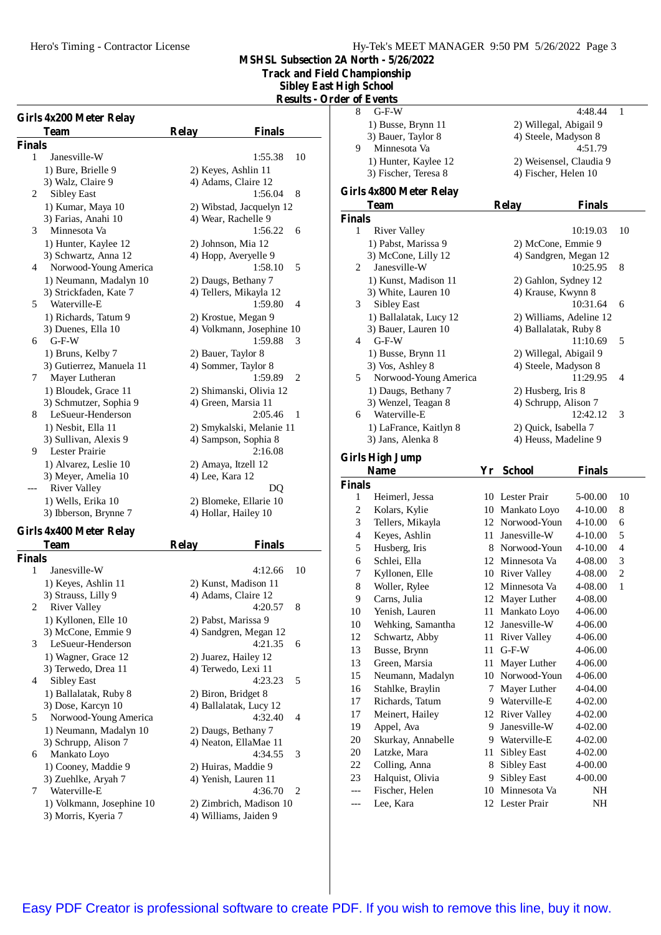**Track and Field Championship**

**Sibley East High School**

| <b>Results - Order of Events</b> |  |  |  |
|----------------------------------|--|--|--|
|                                  |  |  |  |

|        | Girls 4x200 Meter Relay  |                 |                           |
|--------|--------------------------|-----------------|---------------------------|
|        | Team                     | <b>Relay</b>    | <b>Finals</b>             |
| Finals |                          |                 |                           |
| 1      | Janesville-W             |                 | 10<br>1:55.38             |
|        | 1) Bure, Brielle 9       |                 | 2) Keyes, Ashlin 11       |
|        | 3) Walz, Claire 9        |                 | 4) Adams, Claire 12       |
| 2      | <b>Sibley East</b>       |                 | 1:56.04<br>8              |
|        | 1) Kumar, Maya 10        |                 | 2) Wibstad, Jacquelyn 12  |
|        | 3) Farias, Anahi 10      |                 | 4) Wear, Rachelle 9       |
| 3      | Minnesota Va             |                 | 1:56.22<br>6              |
|        | 1) Hunter, Kaylee 12     |                 | 2) Johnson, Mia 12        |
|        | 3) Schwartz, Anna 12     |                 | 4) Hopp, Averyelle 9      |
| 4      | Norwood-Young America    |                 | 1:58.10<br>5              |
|        | 1) Neumann, Madalyn 10   |                 | 2) Daugs, Bethany 7       |
|        | 3) Strickfaden, Kate 7   |                 | 4) Tellers, Mikayla 12    |
| 5      | Waterville-E             |                 | 1:59.80<br>4              |
|        | 1) Richards, Tatum 9     |                 | 2) Krostue, Megan 9       |
|        | 3) Duenes, Ella 10       |                 | 4) Volkmann, Josephine 10 |
| 6      | $G-F-W$                  |                 | 1:59.88<br>3              |
|        | 1) Bruns, Kelby 7        |                 | 2) Bauer, Taylor 8        |
|        | 3) Gutierrez, Manuela 11 |                 | 4) Sommer, Taylor 8       |
| 7      | Mayer Lutheran           |                 | 1:59.89<br>2              |
|        | 1) Bloudek, Grace 11     |                 | 2) Shimanski, Olivia 12   |
|        | 3) Schmutzer, Sophia 9   |                 | 4) Green, Marsia 11       |
| 8      | LeSueur-Henderson        |                 | 2:05.46<br>1              |
|        | 1) Nesbit, Ella 11       |                 | 2) Smykalski, Melanie 11  |
|        | 3) Sullivan, Alexis 9    |                 | 4) Sampson, Sophia 8      |
| 9      | <b>Lester Prairie</b>    |                 | 2:16.08                   |
|        | 1) Alvarez, Leslie 10    |                 | 2) Amaya, Itzell 12       |
|        | 3) Meyer, Amelia 10      | 4) Lee, Kara 12 |                           |
|        | <b>River Valley</b>      |                 | DO                        |
|        | 1) Wells, Erika 10       |                 | 2) Blomeke, Ellarie 10    |
|        | 3) Ibberson, Brynne 7    |                 | 4) Hollar, Hailey 10      |

# **Girls 4x400 Meter Relay**

|        | Team                      | <b>Relay</b><br><b>Finals</b> |                             |
|--------|---------------------------|-------------------------------|-----------------------------|
| Finals |                           |                               |                             |
| 1      | Janesville-W              | 4:12.66                       | 10                          |
|        | 1) Keyes, Ashlin 11       | 2) Kunst, Madison 11          |                             |
|        | 3) Strauss, Lilly 9       | 4) Adams, Claire 12           |                             |
| 2      | River Valley              | 4:20.57                       | 8                           |
|        | 1) Kyllonen, Elle 10      | 2) Pabst, Marissa 9           |                             |
|        | 3) McCone, Emmie 9        | 4) Sandgren, Megan 12         |                             |
| 3      | LeSueur-Henderson         | 4:21.35                       | 6                           |
|        | 1) Wagner, Grace 12       | 2) Juarez, Hailey 12          |                             |
|        | 3) Terwedo, Drea 11       | 4) Terwedo, Lexi 11           |                             |
| 4      | <b>Sibley East</b>        | 4:23.23                       | 5                           |
|        | 1) Ballalatak, Ruby 8     | 2) Biron, Bridget 8           |                             |
|        | 3) Dose, Karcyn 10        | 4) Ballalatak, Lucy 12        |                             |
| 5      | Norwood-Young America     | 4:32.40                       | $\boldsymbol{\Delta}$       |
|        | 1) Neumann, Madalyn 10    | 2) Daugs, Bethany 7           |                             |
|        | 3) Schrupp, Alison 7      | 4) Neaton, EllaMae 11         |                             |
| 6      | Mankato Loyo              | 4:34.55                       | 3                           |
|        | 1) Cooney, Maddie 9       | 2) Huiras, Maddie 9           |                             |
|        | 3) Zuehlke, Aryah 7       | 4) Yenish, Lauren 11          |                             |
| 7      | Waterville-E              | 4:36.70                       | $\mathcal{D}_{\mathcal{L}}$ |
|        | 1) Volkmann, Josephine 10 | 2) Zimbrich, Madison 10       |                             |
|        | 3) Morris, Kyeria 7       | 4) Williams, Jaiden 9         |                             |
|        |                           |                               |                             |

|                         | er of Events                      |        |                                              |                    |                |
|-------------------------|-----------------------------------|--------|----------------------------------------------|--------------------|----------------|
| 8                       | G-F-W                             |        |                                              | 4:48.44            | 1              |
|                         | 1) Busse, Brynn 11                |        | 2) Willegal, Abigail 9                       |                    |                |
|                         | 3) Bauer, Taylor 8                |        | 4) Steele, Madyson 8                         |                    |                |
| 9                       | Minnesota Va                      |        |                                              | 4:51.79            |                |
|                         | 1) Hunter, Kaylee 12              |        | 2) Weisensel, Claudia 9                      |                    |                |
|                         | 3) Fischer, Teresa 8              |        | 4) Fischer, Helen 10                         |                    |                |
|                         |                                   |        |                                              |                    |                |
|                         | Girls 4x800 Meter Relay<br>Team   |        | <b>Relay</b>                                 | Finals             |                |
| Finals                  |                                   |        |                                              |                    |                |
| 1                       | <b>River Valley</b>               |        |                                              | 10:19.03           | 10             |
|                         | 1) Pabst, Marissa 9               |        | 2) McCone, Emmie 9                           |                    |                |
|                         | 3) McCone, Lilly 12               |        | 4) Sandgren, Megan 12                        |                    |                |
| 2                       | Janesville-W                      |        |                                              | 10:25.95           | 8              |
|                         | 1) Kunst, Madison 11              |        | 2) Gahlon, Sydney 12                         |                    |                |
|                         | 3) White, Lauren 10               |        | 4) Krause, Kwynn 8                           |                    |                |
| 3                       | Sibley East                       |        |                                              | 10:31.64           | 6              |
|                         | 1) Ballalatak, Lucy 12            |        | 2) Williams, Adeline 12                      |                    |                |
|                         | 3) Bauer, Lauren 10               |        | 4) Ballalatak, Ruby 8                        |                    |                |
| 4                       | G-F-W                             |        |                                              | 11:10.69           | 5              |
|                         | 1) Busse, Brynn 11                |        | 2) Willegal, Abigail 9                       |                    |                |
|                         | 3) Vos, Ashley 8                  |        | 4) Steele, Madyson 8                         |                    |                |
| 5                       | Norwood-Young America             |        |                                              | 11:29.95           | 4              |
|                         | 1) Daugs, Bethany 7               |        | 2) Husberg, Iris 8                           |                    |                |
|                         | 3) Wenzel, Teagan 8               |        | 4) Schrupp, Alison 7                         |                    |                |
| 6                       | Waterville-E                      |        |                                              | 12:42.12           | 3              |
|                         | 1) LaFrance, Kaitlyn 8            |        | 2) Quick, Isabella 7<br>4) Heuss, Madeline 9 |                    |                |
|                         | 3) Jans, Alenka 8                 |        |                                              |                    |                |
|                         |                                   |        |                                              |                    |                |
|                         | <b>Girls High Jump</b>            |        |                                              |                    |                |
|                         | Name                              | Yr -   | <b>School</b>                                | Finals             |                |
| Finals                  |                                   |        |                                              |                    |                |
| 1                       | Heimerl, Jessa                    |        | 10 Lester Prair                              | 5-00.00            | 10             |
| $\overline{\mathbf{c}}$ | Kolars, Kylie                     |        | 10 Mankato Loyo                              | 4-10.00            | 8              |
| 3                       | Tellers, Mikayla                  |        | 12 Norwood-Youn                              | 4-10.00            | 6              |
| 4                       | Keyes, Ashlin                     | 11     | Janesville-W                                 | 4-10.00            | 5              |
| 5                       | Husberg, Iris                     | 8      | Norwood-Youn                                 | 4-10.00            | 4              |
| 6                       | Schlei, Ella                      | 12     | Minnesota Va                                 | 4-08.00            | 3              |
| 7                       | Kyllonen, Elle                    |        | 10 River Valley                              | 4-08.00            | $\overline{c}$ |
| 8                       | Woller, Rylee                     |        | 12 Minnesota Va                              | 4-08.00            | 1              |
| 9                       | Carns, Julia                      | 12     | Mayer Luther                                 | 4-08.00            |                |
| 10                      | Yenish, Lauren                    | 11     | Mankato Loyo                                 | 4-06.00            |                |
| 10                      | Wehking, Samantha                 | 12     | Janesville-W                                 | 4-06.00            |                |
| 12                      | Schwartz, Abby                    | 11     | River Valley                                 | 4-06.00            |                |
| 13                      | Busse, Brynn                      | 11     | $G-F-W$                                      | 4-06.00            |                |
| 13                      | Green, Marsia                     | 11     | Mayer Luther                                 | 4-06.00            |                |
| 15                      | Neumann, Madalyn                  | 10     | Norwood-Youn                                 | 4-06.00            |                |
| 16                      | Stahlke, Braylin                  | 7      | Mayer Luther                                 | 4-04.00            |                |
| 17                      | Richards, Tatum                   | 9      | Waterville-E                                 | 4-02.00            |                |
| 17                      | Meinert, Hailey                   | 12     | <b>River Valley</b>                          | 4-02.00            |                |
| 19                      | Appel, Ava                        | 9      | Janesville-W                                 | 4-02.00            |                |
| 20                      | Skurkay, Annabelle                | 9      | Waterville-E                                 | 4-02.00            |                |
| 20                      | Latzke, Mara                      | 11     | Sibley East                                  | 4-02.00            |                |
| 22<br>23                | Colling, Anna<br>Halquist, Olivia | 8<br>9 | Sibley East<br><b>Sibley East</b>            | 4-00.00<br>4-00.00 |                |

Lee, Kara 12 Lester Prair NH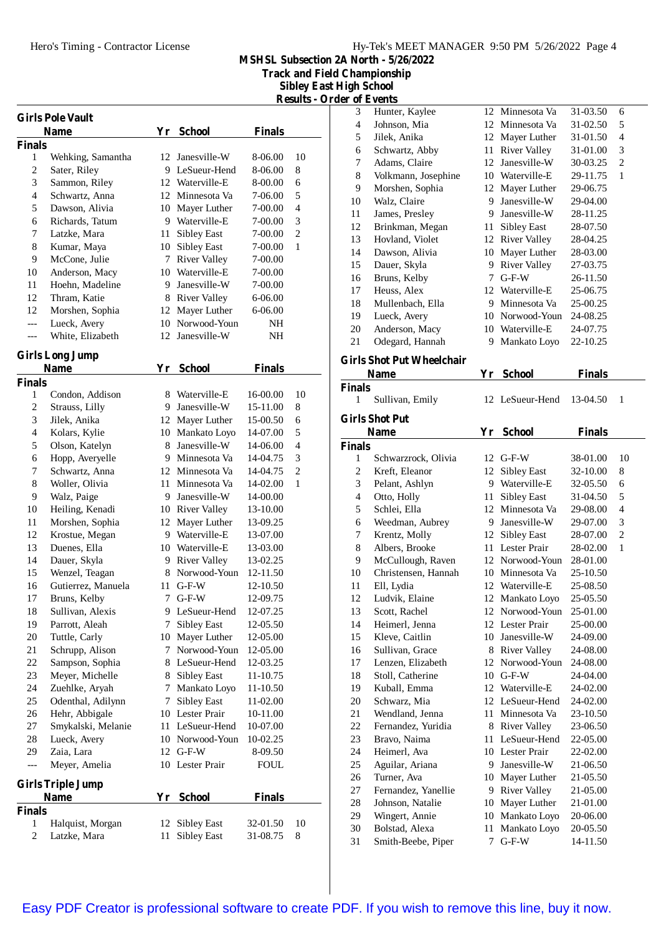**Track and Field Championship**

**Sibley East High School**

|                          | <b>Girls Pole Vault</b><br><b>Name</b> |    | Yr School           | <b>Finals</b> |                |
|--------------------------|----------------------------------------|----|---------------------|---------------|----------------|
| <b>Finals</b>            |                                        |    |                     |               |                |
| 1                        | Wehking, Samantha                      | 12 | Janesville-W        | 8-06.00       | 10             |
| $\overline{\mathbf{c}}$  | Sater, Riley                           |    | 9 LeSueur-Hend      | 8-06.00       | 8              |
| 3                        | Sammon, Riley                          |    | 12 Waterville-E     | 8-00.00       | 6              |
| $\overline{\mathcal{L}}$ | Schwartz, Anna                         |    | 12 Minnesota Va     | 7-06.00       | 5              |
| 5                        | Dawson, Alivia                         |    | 10 Mayer Luther     | 7-00.00       | $\overline{4}$ |
| 6                        | Richards, Tatum                        |    | 9 Waterville-E      | 7-00.00       | 3              |
| 7                        | Latzke, Mara                           | 11 | <b>Sibley East</b>  | 7-00.00       | $\overline{2}$ |
| 8                        | Kumar, Maya                            |    | 10 Sibley East      | 7-00.00       | 1              |
| 9                        | McCone, Julie                          | 7  | <b>River Valley</b> | 7-00.00       |                |
| 10                       | Anderson, Macy                         |    | 10 Waterville-E     | 7-00.00       |                |
| 11                       | Hoehn, Madeline                        | 9. | Janesville-W        | 7-00.00       |                |
| 12                       | Thram, Katie                           |    | 8 River Valley      | 6-06.00       |                |
| 12                       | Morshen, Sophia                        | 12 | Mayer Luther        | 6-06.00       |                |
| $---$                    | Lueck, Avery                           | 10 | Norwood-Youn        | NΗ            |                |
| ---                      | White, Elizabeth                       | 12 | Janesville-W        | NΗ            |                |
|                          |                                        |    |                     |               |                |
|                          | <b>Girls Long Jump</b><br><b>Name</b>  |    | Yr School           | <b>Finals</b> |                |
| <b>Finals</b>            |                                        |    |                     |               |                |
| 1                        | Condon, Addison                        |    | 8 Waterville-E      | 16-00.00      | 10             |
| 2                        | Strauss, Lilly                         |    | 9 Janesville-W      | 15-11.00      | 8              |
| 3                        | Jilek, Anika                           |    | 12 Mayer Luther     | 15-00.50      | 6              |
| 4                        | Kolars, Kylie                          |    | 10 Mankato Loyo     | 14-07.00      | 5              |
| 5                        | Olson, Katelyn                         | 8. | Janesville-W        | 14-06.00      | 4              |
| 6                        | Hopp, Averyelle                        |    | 9 Minnesota Va      | 14-04.75      | 3              |
| 7                        | Schwartz, Anna                         |    | 12 Minnesota Va     | 14-04.75      | $\overline{2}$ |
| 8                        | Woller, Olivia                         |    | 11 Minnesota Va     | 14-02.00      | 1              |
| 9                        | Walz, Paige                            |    | 9 Janesville-W      | 14-00.00      |                |
| 10                       | Heiling, Kenadi                        |    | 10 River Valley     | 13-10.00      |                |
| 11                       | Morshen, Sophia                        |    | 12 Mayer Luther     | 13-09.25      |                |
| 12                       | Krostue, Megan                         |    | 9 Waterville-E      | 13-07.00      |                |
| 13                       | Duenes, Ella                           |    | 10 Waterville-E     | 13-03.00      |                |
| 14                       | Dauer, Skyla                           |    | 9 River Valley      | 13-02.25      |                |
| 15                       | Wenzel, Teagan                         |    | 8 Norwood-Youn      | 12-11.50      |                |
| 16                       | Gutierrez, Manuela                     | 11 | $G-F-W$             | 12-10.50      |                |
| 17                       | Bruns, Kelby                           |    | 7 G-F-W             | 12-09.75      |                |
| 18                       | Sullivan, Alexis                       |    | 9 LeSueur-Hend      | 12-07.25      |                |
| 19                       | Parrott, Aleah                         | 7  | Sibley East         | 12-05.50      |                |
| 20                       | Tuttle, Carly                          | 10 | Mayer Luther        | 12-05.00      |                |
| 21                       | Schrupp, Alison                        | 7  | Norwood-Youn        | 12-05.00      |                |
| 22                       | Sampson, Sophia                        |    | 8 LeSueur-Hend      | 12-03.25      |                |
| 23                       | Meyer, Michelle                        |    | 8 Sibley East       | 11-10.75      |                |
| 24                       | Zuehlke, Aryah                         | 7  | Mankato Loyo        | 11-10.50      |                |
| 25                       | Odenthal, Adilynn                      | 7. | Sibley East         | 11-02.00      |                |
| 26                       | Hehr, Abbigale                         |    | 10 Lester Prair     | 10-11.00      |                |
| 27                       | Smykalski, Melanie                     |    | 11 LeSueur-Hend     | 10-07.00      |                |
| 28                       | Lueck, Avery                           |    | 10 Norwood-Youn     | 10-02.25      |                |
| 29                       | Zaia, Lara                             |    | 12 G-F-W            | 8-09.50       |                |
| ---                      | Meyer, Amelia                          |    | 10 Lester Prair     | <b>FOUL</b>   |                |
|                          | <b>Girls Triple Jump</b>               |    |                     |               |                |
|                          | Name                                   |    | Yr School           | <b>Finals</b> |                |
| <b>Finals</b>            |                                        |    |                     |               |                |
| 1                        | Halquist, Morgan                       | 12 | Sibley East         | 32-01.50      | 10             |
| $\overline{c}$           | Latzke, Mara                           | 11 | Sibley East         | 31-08.75      | 8              |
|                          |                                        |    |                     |               |                |

|               |                     | <b>Results - Order of Events</b> |                                  |    |                 |          |                |  |
|---------------|---------------------|----------------------------------|----------------------------------|----|-----------------|----------|----------------|--|
|               |                     | 3                                | Hunter, Kaylee                   |    | 12 Minnesota Va | 31-03.50 | 6              |  |
|               |                     | 4                                | Johnson, Mia                     |    | 12 Minnesota Va | 31-02.50 | 5              |  |
| ls            |                     | 5                                | Jilek, Anika                     |    | 12 Mayer Luther | 31-01.50 | $\overline{4}$ |  |
|               |                     | 6                                | Schwartz, Abby                   | 11 | River Valley    | 31-01.00 | 3              |  |
| )()           | 10                  | 7                                | Adams, Claire                    | 12 | Janesville-W    | 30-03.25 | $\overline{2}$ |  |
| )()           | 8                   | 8                                | Volkmann, Josephine              | 10 | Waterville-E    | 29-11.75 | 1              |  |
| )()           | 6<br>5              | 9                                | Morshen, Sophia                  | 12 | Mayer Luther    | 29-06.75 |                |  |
| )()           | $\overline{4}$      | 10                               | Walz, Claire                     | 9  | Janesville-W    | 29-04.00 |                |  |
| )()           |                     | 11                               | James, Presley                   | 9  | Janesville-W    | 28-11.25 |                |  |
| )()           | 3<br>$\overline{2}$ | 12                               | Brinkman, Megan                  | 11 | Sibley East     | 28-07.50 |                |  |
| )()           | $\mathbf{1}$        | 13                               | Hovland, Violet                  |    | 12 River Valley | 28-04.25 |                |  |
| )()<br>)()    |                     | 14                               | Dawson, Alivia                   |    | 10 Mayer Luther | 28-03.00 |                |  |
| )()           |                     | 15                               | Dauer, Skyla                     | 9  | River Valley    | 27-03.75 |                |  |
|               |                     | 16                               | Bruns, Kelby                     | 7  | $G-F-W$         | 26-11.50 |                |  |
| $_{0}$<br>)() |                     | 17                               | Heuss, Alex                      | 12 | Waterville-E    | 25-06.75 |                |  |
| )0            |                     | 18                               | Mullenbach, Ella                 | 9  | Minnesota Va    | 25-00.25 |                |  |
| Н             |                     | 19                               | Lueck, Avery                     |    | 10 Norwood-Youn | 24-08.25 |                |  |
| Η             |                     | 20                               | Anderson, Macy                   | 10 | Waterville-E    | 24-07.75 |                |  |
|               |                     | 21                               | Odegard, Hannah                  | 9  | Mankato Loyo    | 22-10.25 |                |  |
| ٠.            |                     |                                  | <b>Girls Shot Put Wheelchair</b> |    |                 |          |                |  |

### **Name Yr School Finals Finals**<br>1 Sullivan, Emily Sullivan, Emily 12 LeSueur-Hend 13-04.50 1 **Girls Shot Put Name Yr School Finals Finals** Schwarzrock, Olivia 12 G-F-W 38-01.00 10 Kreft, Eleanor 12 Sibley East 32-10.00 8 Pelant, Ashlyn 9 Waterville-E 32-05.50 6 Otto, Holly 11 Sibley East 31-04.50 5 Schlei, Ella 12 Minnesota Va 29-08.00 4 Weedman, Aubrey 9 Janesville-W 29-07.00 3 Krentz, Molly 12 Sibley East 28-07.00 2 Albers, Brooke 11 Lester Prair 28-02.00 1 McCullough, Raven 12 Norwood-Youn 28-01.00 Christensen, Hannah 10 Minnesota Va 25-10.50 Ell, Lydia 12 Waterville-E 25-08.50 Ludvik, Elaine 12 Mankato Loyo 25-05.50 Scott, Rachel 12 Norwood-Youn 25-01.00 Heimerl, Jenna 12 Lester Prair 25-00.00 Kleve, Caitlin 10 Janesville-W 24-09.00 16 Sullivan, Grace 8 River Valley 24-08.00 Lenzen, Elizabeth 12 Norwood-Youn 24-08.00 Stoll, Catherine 10 G-F-W 24-04.00 Kuball, Emma 12 Waterville-E 24-02.00 Schwarz, Mia 12 LeSueur-Hend 24-02.00 Wendland, Jenna 11 Minnesota Va 23-10.50 Fernandez, Yuridia 8 River Valley 23-06.50 Bravo, Naima 11 LeSueur-Hend 22-05.00 Heimerl, Ava 10 Lester Prair 22-02.00 25 Aguilar, Ariana 9 Janesville-W 21-06.50 Turner, Ava 10 Mayer Luther 21-05.50 Fernandez, Yanellie 9 River Valley 21-05.00 Johnson, Natalie 10 Mayer Luther 21-01.00 Wingert, Annie 10 Mankato Loyo 20-06.00 Bolstad, Alexa 11 Mankato Loyo 20-05.50 31 Smith-Beebe, Piper 7 G-F-W 14-11.50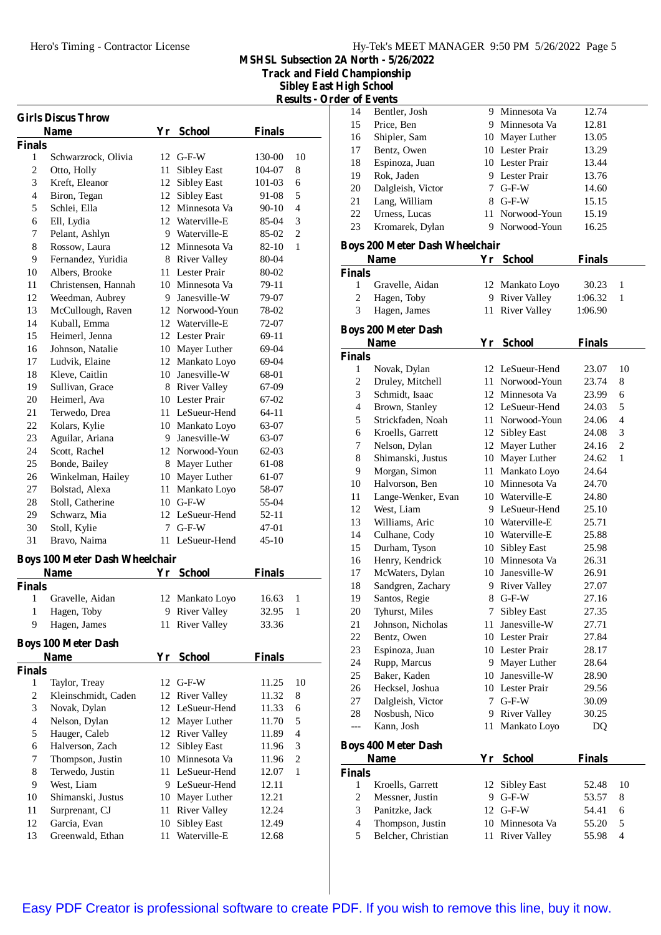**Track and Field Championship**

**Sibley East High School Results - Order of Events**

J.

|              | <b>Girls Discus Throw</b>             |    |                                   |                |                          |
|--------------|---------------------------------------|----|-----------------------------------|----------------|--------------------------|
|              | Name                                  |    | Yr School                         | <b>Finals</b>  |                          |
| Finals       |                                       |    |                                   |                |                          |
| 1            | Schwarzrock, Olivia                   |    | $12$ G-F-W                        | 130-00         | 10                       |
| $\mathbf{2}$ | Otto, Holly                           | 11 | <b>Sibley East</b>                | 104-07         | 8                        |
| 3            | Kreft, Eleanor                        | 12 | Sibley East                       | 101-03         | 6                        |
| 4            | Biron, Tegan                          | 12 | <b>Sibley East</b>                | 91-08          | 5                        |
| 5            | Schlei, Ella                          |    | 12 Minnesota Va                   | 90-10          | 4                        |
| 6            | Ell, Lydia                            |    | 12 Waterville-E                   | 85-04          | 3                        |
| 7            | Pelant, Ashlyn                        |    | 9 Waterville-E                    | 85-02          | 2                        |
| 8<br>9       | Rossow, Laura<br>Fernandez, Yuridia   |    | 12 Minnesota Va                   | 82-10          | 1                        |
| 10           | Albers, Brooke                        |    | 8 River Valley<br>11 Lester Prair | 80-04          |                          |
| 11           | Christensen, Hannah                   |    | 10 Minnesota Va                   | 80-02          |                          |
| 12           |                                       |    | 9 Janesville-W                    | 79-11          |                          |
| 13           | Weedman, Aubrey<br>McCullough, Raven  |    | 12 Norwood-Youn                   | 79-07<br>78-02 |                          |
| 14           | Kuball, Emma                          |    | 12 Waterville-E                   | 72-07          |                          |
| 15           | Heimerl, Jenna                        |    | 12 Lester Prair                   | 69-11          |                          |
| 16           | Johnson, Natalie                      |    | 10 Mayer Luther                   | 69-04          |                          |
| 17           | Ludvik, Elaine                        |    | 12 Mankato Loyo                   | 69-04          |                          |
| 18           | Kleve, Caitlin                        |    | 10 Janesville-W                   | 68-01          |                          |
| 19           | Sullivan, Grace                       |    | 8 River Valley                    | 67-09          |                          |
| 20           | Heimerl, Ava                          |    | 10 Lester Prair                   | 67-02          |                          |
| 21           | Terwedo, Drea                         |    | 11 LeSueur-Hend                   | 64-11          |                          |
| 22           | Kolars, Kylie                         |    | 10 Mankato Loyo                   | 63-07          |                          |
| 23           | Aguilar, Ariana                       |    | 9 Janesville-W                    | 63-07          |                          |
| 24           | Scott, Rachel                         |    | 12 Norwood-Youn                   | 62-03          |                          |
| 25           | Bonde, Bailey                         |    | 8 Mayer Luther                    | 61-08          |                          |
| 26           | Winkelman, Hailey                     |    | 10 Mayer Luther                   | 61-07          |                          |
| 27           | Bolstad, Alexa                        | 11 | Mankato Loyo                      | 58-07          |                          |
| 28           | Stoll, Catherine                      |    | $10$ G-F-W                        | 55-04          |                          |
| 29           | Schwarz, Mia                          |    | 12 LeSueur-Hend                   | 52-11          |                          |
| 30           | Stoll, Kylie                          | 7  | $G-F-W$                           | 47-01          |                          |
| 31           | Bravo, Naima                          |    | 11 LeSueur-Hend                   | $45-10$        |                          |
|              |                                       |    |                                   |                |                          |
|              | <b>Boys 100 Meter Dash Wheelchair</b> |    |                                   |                |                          |
|              | <b>Name</b>                           |    | Yr School                         | <b>Finals</b>  |                          |
| Finals<br>1  | Gravelle, Aidan                       | 12 | Mankato Loyo                      | 16.63          | 1                        |
| $\mathbf{1}$ | Hagen, Toby                           |    | 9 River Valley                    | 32.95          | $\mathbf{1}$             |
| 9            | Hagen, James                          | 11 | <b>River Valley</b>               | 33.36          |                          |
|              |                                       |    |                                   |                |                          |
|              | <b>Boys 100 Meter Dash</b>            |    |                                   |                |                          |
|              | Name                                  | Yr | <b>School</b>                     | <b>Finals</b>  |                          |
| Finals       |                                       |    |                                   |                |                          |
| 1            | Taylor, Treay                         |    | 12 G-F-W                          | 11.25          | 10                       |
| $\sqrt{2}$   | Kleinschmidt, Caden                   | 12 | <b>River Valley</b>               | 11.32          | 8                        |
| 3            | Novak, Dylan                          | 12 | LeSueur-Hend                      | 11.33          | 6                        |
| 4            | Nelson, Dylan                         | 12 | Mayer Luther                      | 11.70          | 5                        |
| 5            | Hauger, Caleb                         | 12 | <b>River Valley</b>               | 11.89          | $\overline{\mathcal{A}}$ |
| 6            | Halverson, Zach                       | 12 | Sibley East                       | 11.96          | 3                        |
| 7            | Thompson, Justin                      | 10 | Minnesota Va                      | 11.96          | $\overline{2}$           |
| $\,$ 8 $\,$  | Terwedo, Justin                       | 11 | LeSueur-Hend                      | 12.07          | 1                        |
| 9            | West, Liam                            |    | 9 LeSueur-Hend                    | 12.11          |                          |
| 10           | Shimanski, Justus                     | 10 | Mayer Luther                      | 12.21          |                          |
| 11           | Surprenant, CJ                        | 11 | <b>River Valley</b>               | 12.24          |                          |
| 12           | Garcia, Evan                          | 10 | <b>Sibley East</b>                | 12.49          |                          |
| 13           | Greenwald, Ethan                      | 11 | Waterville-E                      | 12.68          |                          |

| 14                       | Bentler, Josh                             |    | 9 Minnesota Va      | 12.74         |                          |
|--------------------------|-------------------------------------------|----|---------------------|---------------|--------------------------|
| 15                       | Price, Ben                                |    | 9 Minnesota Va      | 12.81         |                          |
| 16                       | Shipler, Sam                              |    | 10 Mayer Luther     | 13.05         |                          |
| 17                       | Bentz, Owen                               |    | 10 Lester Prair     | 13.29         |                          |
| 18                       | Espinoza, Juan                            |    | 10 Lester Prair     | 13.44         |                          |
| 19                       | Rok, Jaden                                |    | 9 Lester Prair      | 13.76         |                          |
| 20                       | Dalgleish, Victor                         |    | 7 G-F-W             | 14.60         |                          |
| 21                       | Lang, William                             |    | 8 G-F-W             | 15.15         |                          |
| 22                       | Urness, Lucas                             | 11 | Norwood-Youn        | 15.19         |                          |
| 23                       | Kromarek, Dylan                           | 9  | Norwood-Youn        | 16.25         |                          |
|                          | <b>Boys 200 Meter Dash Wheelchair</b>     |    |                     |               |                          |
|                          | <b>Name</b>                               |    | Yr School           | <b>Finals</b> |                          |
| <b>Finals</b>            |                                           |    |                     |               |                          |
| 1                        | Gravelle, Aidan                           |    | 12 Mankato Loyo     | 30.23         | 1                        |
| $\overline{c}$           | Hagen, Toby                               |    | 9 River Valley      | 1:06.32       | 1                        |
| 3                        | Hagen, James                              |    | 11 River Valley     | 1:06.90       |                          |
|                          | <b>Boys 200 Meter Dash</b>                |    |                     |               |                          |
|                          | Name                                      |    | Yr School           | <b>Finals</b> |                          |
| Finals                   |                                           |    |                     |               |                          |
| 1                        | Novak, Dylan                              |    | 12 LeSueur-Hend     | 23.07         | 10                       |
| $\sqrt{2}$               | Druley, Mitchell                          |    | 11 Norwood-Youn     | 23.74         | 8                        |
| 3                        | Schmidt, Isaac                            |    | 12 Minnesota Va     | 23.99         | 6                        |
| $\overline{4}$           | Brown, Stanley                            |    | 12 LeSueur-Hend     | 24.03         | 5                        |
| 5                        | Strickfaden, Noah                         |    | 11 Norwood-Youn     | 24.06         | $\overline{\mathcal{L}}$ |
| 6                        | Kroells, Garrett                          |    | 12 Sibley East      | 24.08         | 3                        |
| 7                        | Nelson, Dylan                             |    | 12 Mayer Luther     | 24.16         | 2                        |
| 8                        | Shimanski, Justus                         |    | 10 Mayer Luther     | 24.62         | 1                        |
| 9                        | Morgan, Simon                             |    | 11 Mankato Loyo     | 24.64         |                          |
| 10                       | Halvorson, Ben                            |    | 10 Minnesota Va     | 24.70         |                          |
| 11                       | Lange-Wenker, Evan                        |    | 10 Waterville-E     | 24.80         |                          |
| 12                       | West, Liam                                |    | 9 LeSueur-Hend      | 25.10         |                          |
| 13                       | Williams, Aric                            |    | 10 Waterville-E     | 25.71         |                          |
| 14                       | Culhane, Cody                             |    | 10 Waterville-E     | 25.88         |                          |
| 15                       | Durham, Tyson                             |    | 10 Sibley East      | 25.98         |                          |
| 16                       | Henry, Kendrick                           |    | 10 Minnesota Va     | 26.31         |                          |
| 17                       | McWaters, Dylan                           |    | 10 Janesville-W     | 26.91         |                          |
| 18                       | Sandgren, Zachary                         | 9. | <b>River Valley</b> | 27.07         |                          |
| 19                       | Santos, Regie                             | 8  | $G-F-W$             | 27.16         |                          |
| 20                       | Tyhurst, Miles                            | 7  | <b>Sibley East</b>  | 27.35         |                          |
| 21                       | Johnson, Nicholas                         | 11 | Janesville-W        | 27.71         |                          |
| 22                       | Bentz, Owen                               |    | 10 Lester Prair     | 27.84         |                          |
| 23                       | Espinoza, Juan                            |    | 10 Lester Prair     | 28.17         |                          |
| 24                       | Rupp, Marcus                              |    | 9 Mayer Luther      | 28.64         |                          |
| 25                       | Baker, Kaden                              |    | 10 Janesville-W     | 28.90         |                          |
| 26                       | Hecksel, Joshua                           |    | 10 Lester Prair     | 29.56         |                          |
| 27                       | Dalgleish, Victor                         | 7  | $G-F-W$             | 30.09         |                          |
| 28                       | Nosbush, Nico                             | 9  | River Valley        | 30.25         |                          |
| ---                      | Kann, Josh                                | 11 | Mankato Loyo        | DQ            |                          |
|                          |                                           |    |                     |               |                          |
|                          | <b>Boys 400 Meter Dash</b><br><b>Name</b> | Yr | <b>School</b>       | <b>Finals</b> |                          |
| Finals                   |                                           |    |                     |               |                          |
| 1                        | Kroells, Garrett                          | 12 | <b>Sibley East</b>  | 52.48         | 10                       |
| $\overline{c}$           | Messner, Justin                           | 9  | $G-F-W$             | 53.57         | 8                        |
| 3                        | Panitzke, Jack                            |    | 12 G-F-W            | 54.41         | 6                        |
| $\overline{\mathcal{L}}$ | Thompson, Justin                          |    | 10 Minnesota Va     | 55.20         | 5                        |
| 5                        | Belcher, Christian                        | 11 | <b>River Valley</b> | 55.98         | $\overline{4}$           |
|                          |                                           |    |                     |               |                          |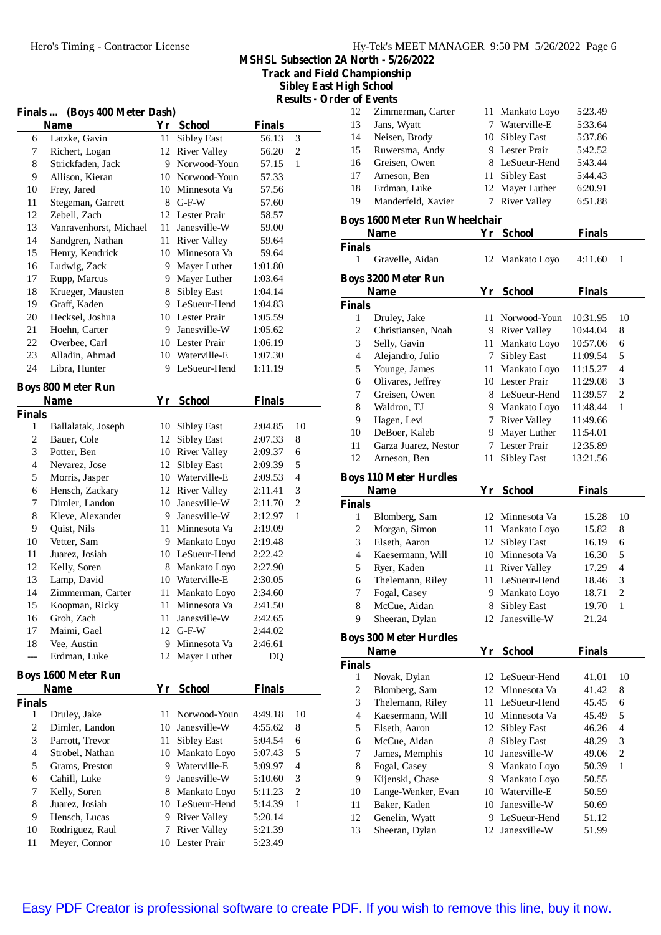**Track and Field Championship**

**Sibley East High School Results -** Order

|                | Finals  (Boys 400 Meter Dash)            |      |                                   |               |                |
|----------------|------------------------------------------|------|-----------------------------------|---------------|----------------|
|                | <b>Name</b>                              |      | Yr School                         | <b>Finals</b> |                |
| 6              | Latzke, Gavin                            | 11-  | <b>Sibley East</b>                | 56.13         | 3              |
| 7              | Richert, Logan                           | 12   | <b>River Valley</b>               | 56.20         | $\overline{c}$ |
| 8              | Strickfaden, Jack                        | 9.   | Norwood-Youn                      | 57.15         | 1              |
| 9              | Allison, Kieran                          |      | 10 Norwood-Youn                   | 57.33         |                |
| 10             | Frey, Jared                              |      | 10 Minnesota Va                   | 57.56         |                |
| 11             | Stegeman, Garrett                        |      | 8 G-F-W                           | 57.60         |                |
| 12             | Zebell, Zach                             |      | 12 Lester Prair                   | 58.57         |                |
| 13             | Vanravenhorst, Michael                   |      | 11 Janesville-W                   | 59.00         |                |
| 14             | Sandgren, Nathan                         |      | 11 River Valley                   | 59.64         |                |
| 15             | Henry, Kendrick                          |      | 10 Minnesota Va                   | 59.64         |                |
| 16             | Ludwig, Zack                             | 9.   | Mayer Luther                      | 1:01.80       |                |
| 17             | Rupp, Marcus                             | 9.   | Mayer Luther                      | 1:03.64       |                |
| 18             | Krueger, Mausten                         | 8    | <b>Sibley East</b>                | 1:04.14       |                |
| 19             | Graff, Kaden                             |      | 9 LeSueur-Hend                    | 1:04.83       |                |
| 20             | Hecksel, Joshua                          |      | 10 Lester Prair                   | 1:05.59       |                |
| 21             | Hoehn, Carter                            |      | 9 Janesville-W                    | 1:05.62       |                |
| 22             | Overbee, Carl                            |      | 10 Lester Prair                   | 1:06.19       |                |
| 23             | Alladin, Ahmad                           |      | 10 Waterville-E                   | 1:07.30       |                |
| 24             | Libra, Hunter                            |      | 9 LeSueur-Hend                    | 1:11.19       |                |
|                |                                          |      |                                   |               |                |
|                | <b>Boys 800 Meter Run</b><br><b>Name</b> |      |                                   | <b>Finals</b> |                |
| <b>Finals</b>  |                                          |      | Yr School                         |               |                |
| 1              |                                          | 10   |                                   | 2:04.85       | 10             |
| 2              | Ballalatak, Joseph<br>Bauer, Cole        | 12   | Sibley East<br><b>Sibley East</b> | 2:07.33       | 8              |
| 3              | Potter, Ben                              |      | 10 River Valley                   | 2:09.37       | 6              |
| 4              | Nevarez, Jose                            | 12   | <b>Sibley East</b>                | 2:09.39       | 5              |
| 5              | Morris, Jasper                           |      | 10 Waterville-E                   | 2:09.53       | 4              |
| 6              |                                          |      | 12 River Valley                   | 2:11.41       | 3              |
| 7              | Hensch, Zackary<br>Dimler, Landon        |      | 10 Janesville-W                   | 2:11.70       | $\overline{c}$ |
| 8              | Kleve, Alexander                         |      | 9 Janesville-W                    | 2:12.97       | $\mathbf{1}$   |
| 9              | Quist, Nils                              | 11 - | Minnesota Va                      | 2:19.09       |                |
| 10             | Vetter, Sam                              |      | 9 Mankato Loyo                    | 2:19.48       |                |
| 11             | Juarez, Josiah                           |      | 10 LeSueur-Hend                   | 2:22.42       |                |
| 12             | Kelly, Soren                             |      | 8 Mankato Loyo                    | 2:27.90       |                |
| 13             | Lamp, David                              |      | 10 Waterville-E                   | 2:30.05       |                |
| 14             | Zimmerman, Carter                        | 11 - | Mankato Loyo                      | 2:34.60       |                |
| 15             | Koopman, Ricky                           | 11   | Minnesota Va                      | 2:41.50       |                |
| 16             | Groh, Zach                               | 11   | Janesville-W                      | 2:42.65       |                |
| 17             | Maimi, Gael                              | 12   | $G-F-W$                           | 2:44.02       |                |
| 18             | Vee, Austin                              | 9.   | Minnesota Va                      | 2:46.61       |                |
| ---            | Erdman, Luke                             | 12   | Mayer Luther                      | DQ            |                |
|                |                                          |      |                                   |               |                |
|                | <b>Boys 1600 Meter Run</b>               |      |                                   |               |                |
|                | <b>Name</b>                              | Yr   | <b>School</b>                     | <b>Finals</b> |                |
| <b>Finals</b>  |                                          |      |                                   |               |                |
| 1              | Druley, Jake                             | 11   | Norwood-Youn                      | 4:49.18       | 10             |
| $\overline{c}$ | Dimler, Landon                           |      | 10 Janesville-W                   | 4:55.62       | 8              |
| 3              | Parrott, Trevor                          | 11   | Sibley East                       | 5:04.54       | 6              |
| $\overline{4}$ | Strobel, Nathan                          |      | 10 Mankato Loyo                   | 5:07.43       | 5              |
| 5              | Grams, Preston                           |      | 9 Waterville-E                    | 5:09.97       | 4              |
| 6              | Cahill, Luke                             | 9.   | Janesville-W                      | 5:10.60       | 3              |
| 7              | Kelly, Soren                             | 8.   | Mankato Loyo                      | 5:11.23       | $\overline{c}$ |
| 8              | Juarez, Josiah                           |      | 10 LeSueur-Hend                   | 5:14.39       | 1              |
| 9              | Hensch, Lucas                            |      | 9 River Valley                    | 5:20.14       |                |
| 10             | Rodriguez, Raul                          |      | 7 River Valley                    | 5:21.39       |                |
| 11             | Meyer, Connor                            |      | 10 Lester Prair                   | 5:23.49       |                |

| ler of Events  |                                       |    |                     |               |                |
|----------------|---------------------------------------|----|---------------------|---------------|----------------|
| 12             | Zimmerman, Carter                     |    | 11 Mankato Loyo     | 5:23.49       |                |
| 13             | Jans, Wyatt                           | 7  | Waterville-E        | 5:33.64       |                |
| 14             | Neisen, Brody                         | 10 | <b>Sibley East</b>  | 5:37.86       |                |
| 15             | Ruwersma, Andy                        | 9  | Lester Prair        | 5:42.52       |                |
| 16             | Greisen, Owen                         | 8  | LeSueur-Hend        | 5:43.44       |                |
| 17             | Arneson, Ben                          | 11 | <b>Sibley East</b>  | 5:44.43       |                |
| 18             | Erdman, Luke                          | 12 | Mayer Luther        | 6:20.91       |                |
| 19             | Manderfeld, Xavier                    | 7  | <b>River Valley</b> | 6:51.88       |                |
|                | <b>Boys 1600 Meter Run Wheelchair</b> |    |                     |               |                |
|                | <b>Name</b>                           |    | Yr School           | <b>Finals</b> |                |
| <b>Finals</b>  |                                       |    |                     |               |                |
| 1              | Gravelle, Aidan                       |    | 12 Mankato Loyo     | 4:11.60       | 1              |
|                | <b>Boys 3200 Meter Run</b>            |    |                     |               |                |
|                |                                       |    |                     |               |                |
|                | <b>Name</b>                           |    | Yr School           | <b>Finals</b> |                |
| <b>Finals</b>  |                                       |    |                     |               |                |
| 1              | Druley, Jake                          | 11 | Norwood-Youn        | 10:31.95      | 10             |
| 2              | Christiansen, Noah                    | 9  | River Valley        | 10:44.04      | 8              |
| 3              | Selly, Gavin                          | 11 | Mankato Loyo        | 10:57.06      | 6              |
| $\overline{4}$ | Alejandro, Julio                      | 7  | <b>Sibley East</b>  | 11:09.54      | 5              |
| 5              | Younge, James                         | 11 | Mankato Loyo        | 11:15.27      | $\overline{4}$ |
| 6              | Olivares, Jeffrey                     |    | 10 Lester Prair     | 11:29.08      | 3              |
| 7              | Greisen, Owen                         |    | 8 LeSueur-Hend      | 11:39.57      | $\overline{2}$ |
| 8              | Waldron, TJ                           |    | 9 Mankato Loyo      | 11:48.44      | $\mathbf{1}$   |
| 9              | Hagen, Levi                           | 7  | <b>River Valley</b> | 11:49.66      |                |
| 10             | DeBoer, Kaleb                         | 9  | Mayer Luther        | 11:54.01      |                |
| 11             | Garza Juarez, Nestor                  | 7  | Lester Prair        | 12:35.89      |                |
| 12             | Arneson, Ben                          | 11 | Sibley East         | 13:21.56      |                |

#### **Boys 110 Meter Hurdles**

| <b>Name</b>   |                  | Үr | <b>School</b>   | <b>Finals</b> |    |  |
|---------------|------------------|----|-----------------|---------------|----|--|
| <b>Finals</b> |                  |    |                 |               |    |  |
| 1             | Blomberg, Sam    |    | 12 Minnesota Va | 15.28         | 10 |  |
| 2             | Morgan, Simon    |    | 11 Mankato Loyo | 15.82         | 8  |  |
| 3             | Elseth, Aaron    |    | 12 Sibley East  | 16.19         | 6  |  |
| 4             | Kaesermann, Will |    | 10 Minnesota Va | 16.30         | 5  |  |
| 5             | Ryer, Kaden      |    | 11 River Valley | 17.29         | 4  |  |
| 6             | Thelemann, Riley |    | 11 LeSueur-Hend | 18.46         | 3  |  |
| 7             | Fogal, Casey     |    | 9 Mankato Loyo  | 18.71         | 2  |  |
| 8             | McCue, Aidan     | 8  | Sibley East     | 19.70         | 1  |  |
| 9             | Sheeran, Dylan   |    | 12 Janesville-W | 21.24         |    |  |
|               |                  |    |                 |               |    |  |

# **Boys 300 Meter Hurdles**

| <b>Name</b>   |                    | Yr  | School             | Finals |                |
|---------------|--------------------|-----|--------------------|--------|----------------|
| <b>Finals</b> |                    |     |                    |        |                |
| 1             | Novak, Dylan       |     | 12 LeSueur-Hend    | 41.01  | 10             |
| 2             | Blomberg, Sam      |     | 12 Minnesota Va    | 41.42  | 8              |
| 3             | Thelemann, Riley   |     | 11 LeSueur-Hend    | 45.45  | 6              |
| 4             | Kaesermann, Will   | 10  | Minnesota Va       | 45.49  | 5              |
| 5             | Elseth, Aaron      | 12  | <b>Sibley East</b> | 46.26  | 4              |
| 6             | McCue, Aidan       | 8   | <b>Sibley East</b> | 48.29  | 3              |
| 7             | James, Memphis     | 10  | Janesville-W       | 49.06  | $\overline{2}$ |
| 8             | Fogal, Casey       | 9   | Mankato Loyo       | 50.39  | 1              |
| 9             | Kijenski, Chase    | 9   | Mankato Loyo       | 50.55  |                |
| 10            | Lange-Wenker, Evan |     | 10 Waterville-E    | 50.59  |                |
| 11            | Baker, Kaden       | 10  | Janesville-W       | 50.69  |                |
| 12            | Genelin, Wyatt     | 9   | LeSueur-Hend       | 51.12  |                |
| 13            | Sheeran, Dylan     | 12. | Janesville-W       | 51.99  |                |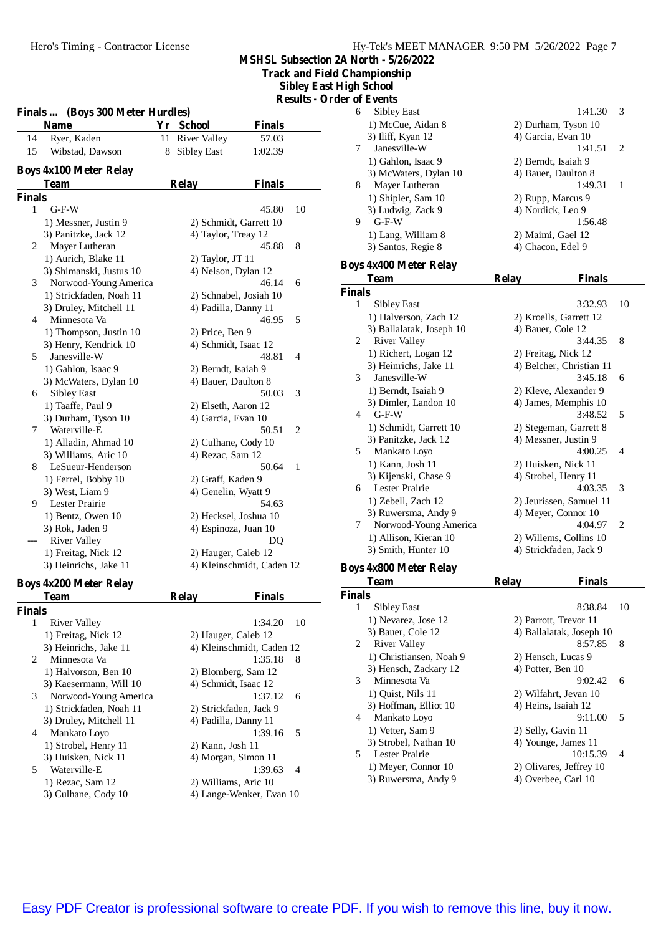| Hy-Tek's MEET MANAGER 9:50 PM 5/26/2022 Page 7 |  |  |
|------------------------------------------------|--|--|
|                                                |  |  |

**Track and Field Championship**

**Sibley East High School Results - Order of Events**

|               |                                            |    |                      |                           | <u> Kesults - U</u> |
|---------------|--------------------------------------------|----|----------------------|---------------------------|---------------------|
|               | Finals  (Boys 300 Meter Hurdles)           |    |                      |                           |                     |
|               | Name                                       |    | Yr School            | <b>Finals</b>             |                     |
| 14            | Ryer, Kaden                                | 11 | <b>River Valley</b>  | 57.03                     |                     |
| 15            | Wibstad, Dawson                            | 8  | <b>Sibley East</b>   | 1:02.39                   |                     |
|               | <b>Boys 4x100 Meter Relay</b>              |    |                      |                           |                     |
|               | <b>Team</b>                                |    | <b>Relay</b>         | <b>Finals</b>             |                     |
| <b>Finals</b> |                                            |    |                      |                           |                     |
| 1             | $G-F-W$                                    |    |                      | 45.80                     | 10                  |
|               | 1) Messner, Justin 9                       |    |                      | 2) Schmidt, Garrett 10    |                     |
|               | 3) Panitzke, Jack 12                       |    | 4) Taylor, Treay 12  |                           |                     |
| 2             | Mayer Lutheran                             |    |                      | 45.88                     | 8                   |
|               | 1) Aurich, Blake 11                        |    | 2) Taylor, JT 11     |                           |                     |
|               | 3) Shimanski, Justus 10                    |    | 4) Nelson, Dylan 12  |                           |                     |
| 3             | Norwood-Young America                      |    |                      | 46.14                     | 6                   |
|               | 1) Strickfaden, Noah 11                    |    |                      | 2) Schnabel, Josiah 10    |                     |
|               | 3) Druley, Mitchell 11                     |    | 4) Padilla, Danny 11 |                           |                     |
| 4             | Minnesota Va                               |    |                      | 46.95                     | 5                   |
|               | 1) Thompson, Justin 10                     |    | 2) Price, Ben 9      |                           |                     |
|               | 3) Henry, Kendrick 10                      |    | 4) Schmidt, Isaac 12 |                           |                     |
| 5             | Janesville-W                               |    |                      | 48.81                     | 4                   |
|               | 1) Gahlon, Isaac 9                         |    | 2) Berndt, Isaiah 9  |                           |                     |
|               | 3) McWaters, Dylan 10                      |    | 4) Bauer, Daulton 8  |                           |                     |
| 6             | <b>Sibley East</b>                         |    |                      | 50.03                     | 3                   |
|               | 1) Taaffe, Paul 9                          |    | 2) Elseth, Aaron 12  |                           |                     |
|               | 3) Durham, Tyson 10                        |    | 4) Garcia, Evan 10   |                           |                     |
| 7             | Waterville-E                               |    |                      | 50.51                     | 2                   |
|               | 1) Alladin, Ahmad 10                       |    | 2) Culhane, Cody 10  |                           |                     |
|               | 3) Williams, Aric 10                       |    | 4) Rezac, Sam 12     |                           |                     |
| 8             | LeSueur-Henderson                          |    |                      | 50.64                     | 1                   |
|               | 1) Ferrel, Bobby 10                        |    | 2) Graff, Kaden 9    |                           |                     |
|               | 3) West, Liam 9                            |    | 4) Genelin, Wyatt 9  |                           |                     |
| 9             | Lester Prairie                             |    |                      | 54.63                     |                     |
|               | 1) Bentz, Owen 10                          |    |                      | 2) Hecksel, Joshua 10     |                     |
|               | 3) Rok, Jaden 9                            |    | 4) Espinoza, Juan 10 |                           |                     |
|               | <b>River Valley</b>                        |    |                      | DQ                        |                     |
|               | 1) Freitag, Nick 12                        |    | 2) Hauger, Caleb 12  |                           |                     |
|               | 3) Heinrichs, Jake 11                      |    |                      | 4) Kleinschmidt, Caden 12 |                     |
|               |                                            |    |                      |                           |                     |
|               | <b>Boys 4x200 Meter Relay</b>              |    |                      |                           |                     |
|               | Team                                       |    | Relay                | <b>Finals</b>             |                     |
| Finals<br>1   |                                            |    |                      | 1:34.20                   | 10                  |
|               | <b>River Valley</b><br>1) Freitag, Nick 12 |    | 2) Hauger, Caleb 12  |                           |                     |
|               | 3) Heinrichs, Jake 11                      |    |                      | 4) Kleinschmidt, Caden 12 |                     |
| 2             | Minnesota Va                               |    |                      | 1:35.18                   | 8                   |
|               | 1) Halvorson, Ben 10                       |    | 2) Blomberg, Sam 12  |                           |                     |
|               | 3) Kaesermann, Will 10                     |    | 4) Schmidt, Isaac 12 |                           |                     |
| 3             | Norwood-Young America                      |    |                      | 1:37.12                   | 6                   |
|               | 1) Strickfaden, Noah 11                    |    |                      | 2) Strickfaden, Jack 9    |                     |
|               | 3) Druley, Mitchell 11                     |    | 4) Padilla, Danny 11 |                           |                     |
| 4             | Mankato Loyo                               |    |                      | 1:39.16                   | 5                   |
|               | 1) Strobel, Henry 11                       |    | 2) Kann, Josh 11     |                           |                     |
|               | 3) Huisken, Nick 11                        |    | 4) Morgan, Simon 11  |                           |                     |
| 5             | Waterville-E                               |    |                      | 1:39.63                   | 4                   |
|               | 1) Rezac, Sam 12                           |    | 2) Williams, Aric 10 |                           |                     |
|               | 3) Culhane, Cody 10                        |    |                      | 4) Lange-Wenker, Evan 10  |                     |
|               |                                            |    |                      |                           |                     |

|               | Jer of Events                 |                               |                          |
|---------------|-------------------------------|-------------------------------|--------------------------|
| 6             | Sibley East                   | 1:41.30                       | 3                        |
|               | 1) McCue, Aidan 8             | 2) Durham, Tyson 10           |                          |
|               | 3) Iliff, Kyan 12             | 4) Garcia, Evan 10            |                          |
| 7             | Janesville-W                  | 1:41.51                       | 2                        |
|               | 1) Gahlon, Isaac 9            | 2) Berndt, Isaiah 9           |                          |
|               | 3) McWaters, Dylan 10         | 4) Bauer, Daulton 8           |                          |
| 8             | Mayer Lutheran                | 1:49.31                       | 1                        |
|               | 1) Shipler, Sam 10            | 2) Rupp, Marcus 9             |                          |
|               | 3) Ludwig, Zack 9             | 4) Nordick, Leo 9             |                          |
| 9             | $G-F-W$                       | 1:56.48                       |                          |
|               | 1) Lang, William 8            | 2) Maimi, Gael 12             |                          |
|               | 3) Santos, Regie 8            | 4) Chacon, Edel 9             |                          |
|               | <b>Boys 4x400 Meter Relay</b> |                               |                          |
|               | <b>Team</b>                   | <b>Relay</b><br><b>Finals</b> |                          |
| <b>Finals</b> |                               |                               |                          |
| 1             | Sibley East                   | 3:32.93                       | 10                       |
|               | 1) Halverson, Zach 12         | 2) Kroells, Garrett 12        |                          |
|               | 3) Ballalatak, Joseph 10      | 4) Bauer, Cole 12             |                          |
| 2             | <b>River Valley</b>           | 3:44.35                       | 8                        |
|               | 1) Richert, Logan 12          | 2) Freitag, Nick 12           |                          |
|               | 3) Heinrichs, Jake 11         | 4) Belcher, Christian 11      |                          |
| 3             | Janesville-W                  | 3:45.18                       | 6                        |
|               | 1) Berndt, Isaiah 9           | 2) Kleve, Alexander 9         |                          |
|               | 3) Dimler, Landon 10          | 4) James, Memphis 10          |                          |
| 4             | $G-F-W$                       | 3:48.52                       | 5                        |
|               | 1) Schmidt, Garrett 10        | 2) Stegeman, Garrett 8        |                          |
|               | 3) Panitzke, Jack 12          | 4) Messner, Justin 9          |                          |
| 5             | Mankato Loyo                  | 4:00.25                       | $\overline{\mathcal{A}}$ |
|               | 1) Kann, Josh 11              | 2) Huisken, Nick 11           |                          |
|               | 3) Kijenski, Chase 9          | 4) Strobel, Henry 11          |                          |
| 6             | <b>Lester Prairie</b>         | 4:03.35                       | 3                        |
|               | 1) Zebell, Zach 12            | 2) Jeurissen, Samuel 11       |                          |
|               | 3) Ruwersma, Andy 9           | 4) Meyer, Connor 10           |                          |
| 7             | Norwood-Young America         | 4:04.97                       | 2                        |
|               | 1) Allison, Kieran 10         | 2) Willems, Collins 10        |                          |
|               | 3) Smith, Hunter 10           | 4) Strickfaden, Jack 9        |                          |
|               | <b>Boys 4x800 Meter Relay</b> |                               |                          |

|        | Team                    | <b>Relay</b>        | Finals                   |    |
|--------|-------------------------|---------------------|--------------------------|----|
| Finals |                         |                     |                          |    |
| 1      | Sibley East             |                     | 8:38.84                  | 10 |
|        | 1) Nevarez, Jose 12     |                     | 2) Parrott, Trevor 11    |    |
|        | 3) Bauer, Cole 12       |                     | 4) Ballalatak, Joseph 10 |    |
| 2      | River Valley            |                     | 8:57.85                  | 8  |
|        | 1) Christiansen, Noah 9 |                     | 2) Hensch, Lucas 9       |    |
|        | 3) Hensch, Zackary 12   | 4) Potter, Ben 10   |                          |    |
| 3      | Minnesota Va            |                     | 9:02.42                  | 6  |
|        | 1) Quist, Nils 11       |                     | 2) Wilfahrt, Jevan 10    |    |
|        | 3) Hoffman, Elliot 10   | 4) Heins, Isaiah 12 |                          |    |
| 4      | Mankato Loyo            |                     | 9:11.00                  | 5  |
|        | 1) Vetter, Sam 9        | 2) Selly, Gavin 11  |                          |    |
|        | 3) Strobel, Nathan 10   |                     | 4) Younge, James 11      |    |
| 5      | Lester Prairie          |                     | 10:15.39                 | 4  |
|        | 1) Meyer, Connor 10     |                     | 2) Olivares, Jeffrey 10  |    |
|        | 3) Ruwersma, Andy 9     |                     | 4) Overbee, Carl 10      |    |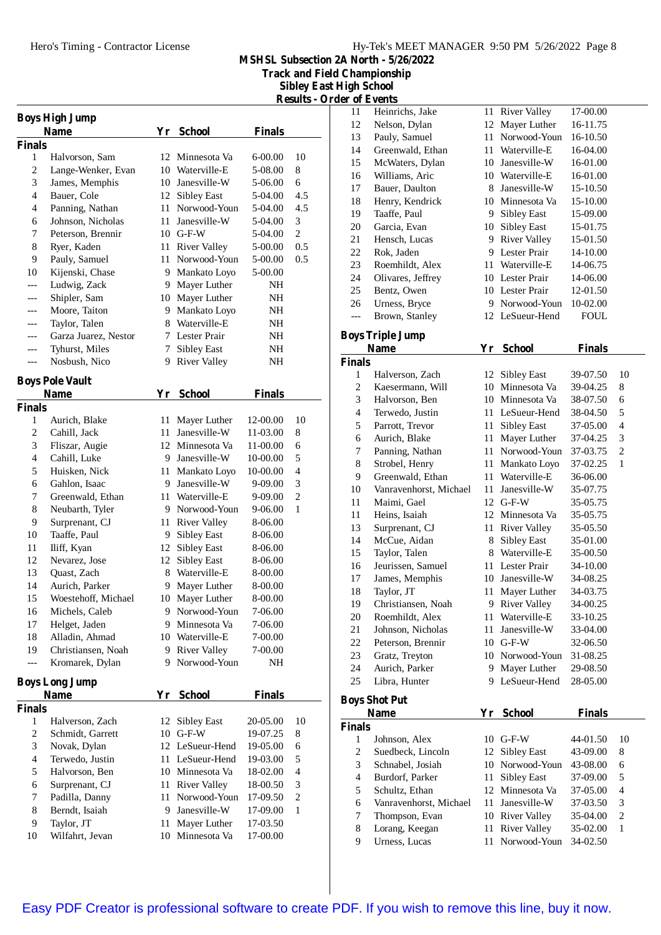**Track and Field Championship**

**Sibley East High School Results - Order of Events**

| <b>Boys High Jump</b>    |                                |      |                     |               |                          |  |  |
|--------------------------|--------------------------------|------|---------------------|---------------|--------------------------|--|--|
|                          | <b>Name</b>                    |      | Yr School           | <b>Finals</b> |                          |  |  |
| <b>Finals</b>            |                                |      |                     |               |                          |  |  |
| 1                        | Halvorson, Sam                 | 12   | Minnesota Va        | 6-00.00       | 10                       |  |  |
| 2                        | Lange-Wenker, Evan             |      | 10 Waterville-E     | 5-08.00       | 8                        |  |  |
| 3                        | James, Memphis                 |      | 10 Janesville-W     | 5-06.00       | 6                        |  |  |
| 4                        | Bauer, Cole                    |      | 12 Sibley East      | 5-04.00       | 4.5                      |  |  |
| 4                        | Panning, Nathan                | 11 - | Norwood-Youn        | 5-04.00       | 4.5                      |  |  |
| 6                        | Johnson, Nicholas              | 11   | Janesville-W        | 5-04.00       | 3                        |  |  |
| 7                        | Peterson, Brennir              |      | $10$ G-F-W          | 5-04.00       | $\overline{c}$           |  |  |
| 8                        | Ryer, Kaden                    |      | 11 River Valley     | 5-00.00       | 0.5                      |  |  |
| 9                        | Pauly, Samuel                  | 11   | Norwood-Youn        | 5-00.00       | 0.5                      |  |  |
| 10                       | Kijenski, Chase                |      | 9 Mankato Loyo      | 5-00.00       |                          |  |  |
| ---                      | Ludwig, Zack                   |      | 9 Mayer Luther      | NH            |                          |  |  |
| ---                      | Shipler, Sam                   |      | 10 Mayer Luther     | NH            |                          |  |  |
|                          | Moore, Taiton                  | 9.   | Mankato Loyo        | NH            |                          |  |  |
| ---                      | Taylor, Talen                  | 8    | Waterville-E        | NH            |                          |  |  |
| ---                      | Garza Juarez, Nestor           | 7    | Lester Prair        | NH            |                          |  |  |
|                          | Tyhurst, Miles                 | 7    | <b>Sibley East</b>  | NH            |                          |  |  |
| ---                      | Nosbush, Nico                  | 9    | <b>River Valley</b> | NΗ            |                          |  |  |
|                          |                                |      |                     |               |                          |  |  |
|                          | <b>Boys Pole Vault</b><br>Name | Yr   | <b>School</b>       | <b>Finals</b> |                          |  |  |
| <b>Finals</b>            |                                |      |                     |               |                          |  |  |
| 1                        | Aurich, Blake                  |      | 11 Mayer Luther     | 12-00.00      | 10                       |  |  |
| 2                        | Cahill, Jack                   | 11 - | Janesville-W        | 11-03.00      | 8                        |  |  |
| 3                        | Fliszar, Augie                 |      | 12 Minnesota Va     | 11-00.00      | 6                        |  |  |
| 4                        | Cahill, Luke                   |      | 9 Janesville-W      | 10-00.00      | 5                        |  |  |
| 5                        | Huisken, Nick                  |      | 11 Mankato Loyo     | 10-00.00      | $\overline{4}$           |  |  |
| 6                        | Gahlon, Isaac                  | 9.   | Janesville-W        | 9-09.00       | 3                        |  |  |
| 7                        | Greenwald, Ethan               | 11   | Waterville-E        | 9-09.00       | $\overline{2}$           |  |  |
| 8                        |                                | 9    | Norwood-Youn        |               | 1                        |  |  |
|                          | Neubarth, Tyler                |      |                     | 9-06.00       |                          |  |  |
| 9                        | Surprenant, CJ                 | 11   | <b>River Valley</b> | 8-06.00       |                          |  |  |
| 10                       | Taaffe, Paul                   | 9.   | Sibley East         | 8-06.00       |                          |  |  |
| 11                       | Iliff, Kyan                    | 12   | Sibley East         | 8-06.00       |                          |  |  |
| 12                       | Nevarez, Jose                  |      | 12 Sibley East      | 8-06.00       |                          |  |  |
| 13                       | Quast, Zach                    |      | 8 Waterville-E      | 8-00.00       |                          |  |  |
| 14                       | Aurich, Parker                 | 9    | Mayer Luther        | 8-00.00       |                          |  |  |
| 15                       | Woestehoff, Michael            | 10   | Mayer Luther        | 8-00.00       |                          |  |  |
| 16                       | Michels, Caleb                 |      | 9 Norwood-Youn      | 7-06.00       |                          |  |  |
| 17                       | Helget, Jaden                  | 9.   | Minnesota Va        | 7-06.00       |                          |  |  |
| 18                       | Alladin, Ahmad                 |      | 10 Waterville-E     | 7-00.00       |                          |  |  |
| 19                       | Christiansen, Noah             | 9    | <b>River Valley</b> | 7-00.00       |                          |  |  |
| $---$                    | Kromarek, Dylan                | 9    | Norwood-Youn        | NH            |                          |  |  |
| <b>Boys Long Jump</b>    |                                |      |                     |               |                          |  |  |
|                          | <b>Name</b>                    | Yr   | <b>School</b>       | <b>Finals</b> |                          |  |  |
| <b>Finals</b>            |                                |      |                     |               |                          |  |  |
| 1                        | Halverson, Zach                | 12   | <b>Sibley East</b>  | 20-05.00      | 10                       |  |  |
| $\overline{\mathbf{c}}$  | Schmidt, Garrett               | 10   | $G-F-W$             | 19-07.25      | 8                        |  |  |
| 3                        | Novak, Dylan                   |      | 12 LeSueur-Hend     | 19-05.00      | 6                        |  |  |
| $\overline{\mathcal{L}}$ | Terwedo, Justin                |      | 11 LeSueur-Hend     | 19-03.00      | 5                        |  |  |
| 5                        | Halvorson, Ben                 |      | 10 Minnesota Va     | 18-02.00      | $\overline{\mathcal{L}}$ |  |  |
| 6                        | Surprenant, CJ                 |      | 11 River Valley     | 18-00.50      | 3                        |  |  |
| 7                        | Padilla, Danny                 | 11   | Norwood-Youn        | 17-09.50      | $\overline{c}$           |  |  |
| 8                        | Berndt, Isaiah                 |      | 9 Janesville-W      | 17-09.00      | 1                        |  |  |
| 9                        | Taylor, JT                     | 11   | Mayer Luther        | 17-03.50      |                          |  |  |
| 10                       | Wilfahrt, Jevan                | 10   | Minnesota Va        | 17-00.00      |                          |  |  |
|                          |                                |      |                     |               |                          |  |  |

| 11                       | Heinrichs, Jake                      | 11       | <b>River Valley</b>                 | 17-00.00             |                          |
|--------------------------|--------------------------------------|----------|-------------------------------------|----------------------|--------------------------|
| 12                       | Nelson, Dylan                        | 12       | Mayer Luther                        | 16-11.75             |                          |
| 13                       | Pauly, Samuel                        | 11       | Norwood-Youn                        | 16-10.50             |                          |
| 14                       | Greenwald, Ethan                     | 11       | Waterville-E                        | 16-04.00             |                          |
| 15                       | McWaters, Dylan                      | 10       | Janesville-W                        | 16-01.00             |                          |
| 16                       | Williams, Aric                       |          | 10 Waterville-E                     | 16-01.00             |                          |
| 17                       | Bauer, Daulton                       | 8        | Janesville-W                        | 15-10.50             |                          |
| 18                       | Henry, Kendrick                      | 10       | Minnesota Va                        | 15-10.00             |                          |
| 19                       | Taaffe, Paul                         | 9.       | <b>Sibley East</b>                  | 15-09.00             |                          |
| 20                       | Garcia, Evan                         | 10       | <b>Sibley East</b>                  | 15-01.75             |                          |
| 21                       | Hensch, Lucas                        | 9.       | <b>River Valley</b>                 | 15-01.50             |                          |
| 22                       | Rok, Jaden                           | 9        | Lester Prair                        | 14-10.00             |                          |
| 23                       | Roemhildt, Alex                      | 11       | Waterville-E                        | 14-06.75             |                          |
| 24                       | Olivares, Jeffrey                    |          | 10 Lester Prair                     | 14-06.00             |                          |
| 25                       | Bentz, Owen                          |          | 10 Lester Prair                     | 12-01.50             |                          |
| 26                       | Urness, Bryce                        |          | 9 Norwood-Youn                      | 10-02.00             |                          |
| $---$                    | Brown, Stanley                       | 12       | LeSueur-Hend                        | FOUL                 |                          |
|                          | <b>Boys Triple Jump</b>              |          |                                     |                      |                          |
|                          | <b>Name</b>                          | Yr       | <b>School</b>                       | <b>Finals</b>        |                          |
| <b>Finals</b>            |                                      |          |                                     |                      |                          |
| 1                        | Halverson, Zach                      | 12       | Sibley East                         | 39-07.50             | 10                       |
| 2                        | Kaesermann, Will                     | 10       | Minnesota Va                        | 39-04.25             | 8                        |
| 3                        | Halvorson, Ben                       |          | 10 Minnesota Va                     | 38-07.50             | 6                        |
| $\overline{\mathcal{L}}$ | Terwedo, Justin                      | 11       | LeSueur-Hend                        | 38-04.50             | 5                        |
| 5                        | Parrott, Trevor                      | 11       | <b>Sibley East</b>                  | 37-05.00             | $\overline{4}$           |
| 6                        | Aurich, Blake                        | 11       | Mayer Luther                        | 37-04.25             | 3                        |
| 7                        | Panning, Nathan                      | 11       | Norwood-Youn                        | 37-03.75             | $\overline{c}$           |
| 8                        | Strobel, Henry                       | 11       | Mankato Loyo                        | 37-02.25             | 1                        |
| 9                        | Greenwald, Ethan                     | 11       | Waterville-E                        | 36-06.00             |                          |
| 10                       | Vanravenhorst, Michael               | 11       | Janesville-W                        | 35-07.75             |                          |
| 11                       | Maimi, Gael                          | 12       | $G-F-W$                             | 35-05.75             |                          |
| 11                       | Heins, Isaiah                        | 12       | Minnesota Va                        | 35-05.75             |                          |
| 13                       | Surprenant, CJ                       | 11       | <b>River Valley</b>                 | 35-05.50             |                          |
| 14                       | McCue, Aidan                         | 8        | Sibley East                         | 35-01.00             |                          |
| 15                       | Taylor, Talen                        | 8        | Waterville-E                        | 35-00.50             |                          |
| 16                       | Jeurissen, Samuel                    | 11       | Lester Prair                        | 34-10.00             |                          |
| 17                       | James, Memphis                       | 10       | Janesville-W                        | 34-08.25             |                          |
| 18                       | Taylor, JT                           | 11       | Mayer Luther                        | 34-03.75             |                          |
| 19                       | Christiansen, Noah                   |          |                                     | 34-00.25             |                          |
| 20                       |                                      |          |                                     |                      |                          |
|                          |                                      | 11       | 9 River Valley                      |                      |                          |
| 21                       | Roemhildt, Alex<br>Johnson, Nicholas | 11       | Waterville-E<br>Janesville-W        | 33-10.25             |                          |
|                          | Peterson, Brennir                    | 10       | $G-F-W$                             | 33-04.00<br>32-06.50 |                          |
| 22<br>23                 |                                      | 10-      | Norwood-Youn                        | 31-08.25             |                          |
| 24                       | Gratz, Treyton<br>Aurich, Parker     | 9.       | Mayer Luther                        |                      |                          |
| 25                       | Libra, Hunter                        | 9        | LeSueur-Hend                        | 29-08.50<br>28-05.00 |                          |
|                          |                                      |          |                                     |                      |                          |
|                          | <b>Boys Shot Put</b>                 |          |                                     |                      |                          |
|                          | Name                                 |          | Yr School                           | <b>Finals</b>        |                          |
| <b>Finals</b>            |                                      |          |                                     |                      |                          |
| 1                        | Johnson, Alex                        |          | 10 G-F-W                            | 44-01.50             | 10                       |
| 2                        | Suedbeck, Lincoln                    | 12       | Sibley East                         | 43-09.00             | 8                        |
| 3                        | Schnabel, Josiah                     | 10       | Norwood-Youn                        | 43-08.00             | 6                        |
| $\overline{\mathcal{L}}$ | Burdorf, Parker                      | 11       | <b>Sibley East</b>                  | 37-09.00             | 5                        |
| 5                        | Schultz, Ethan                       | 12       | Minnesota Va                        | 37-05.00             | $\overline{\mathcal{L}}$ |
| 6                        | Vanravenhorst, Michael               | 11       | Janesville-W                        | 37-03.50             | 3                        |
| 7                        | Thompson, Evan                       | 10       | <b>River Valley</b>                 | 35-04.00             | $\sqrt{2}$               |
| 8<br>9                   | Lorang, Keegan<br>Urness, Lucas      | 11<br>11 | <b>River Valley</b><br>Norwood-Youn | 35-02.00<br>34-02.50 | 1                        |